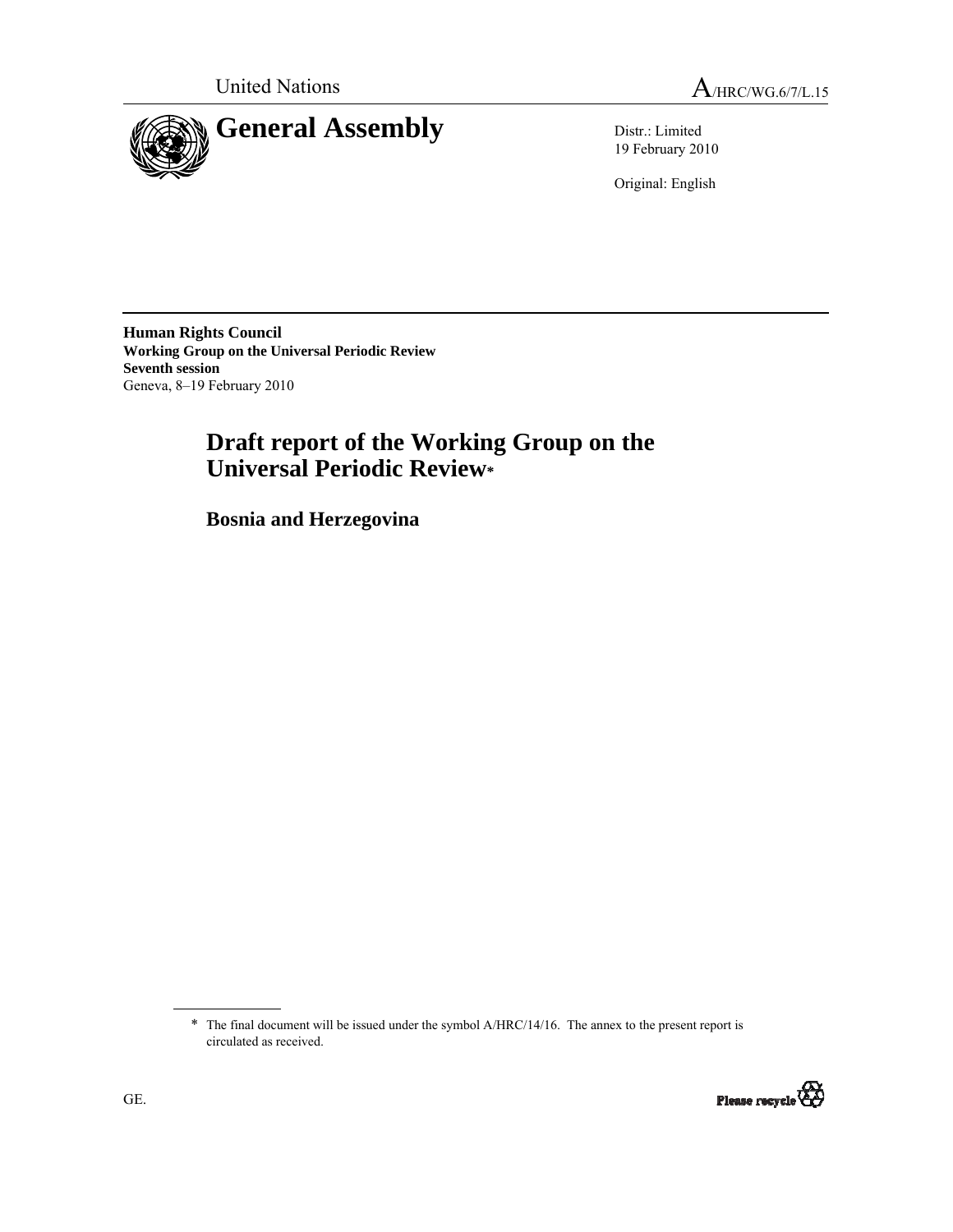

19 February 2010

Original: English

**Human Rights Council Working Group on the Universal Periodic Review Seventh session**  Geneva, 8–19 February 2010

# **Draft report of the Working Group on the Universal Periodic Review\***

 **Bosnia and Herzegovina** 

\* The final document will be issued under the symbol A/HRC/14/16. The annex to the present report is circulated as received.

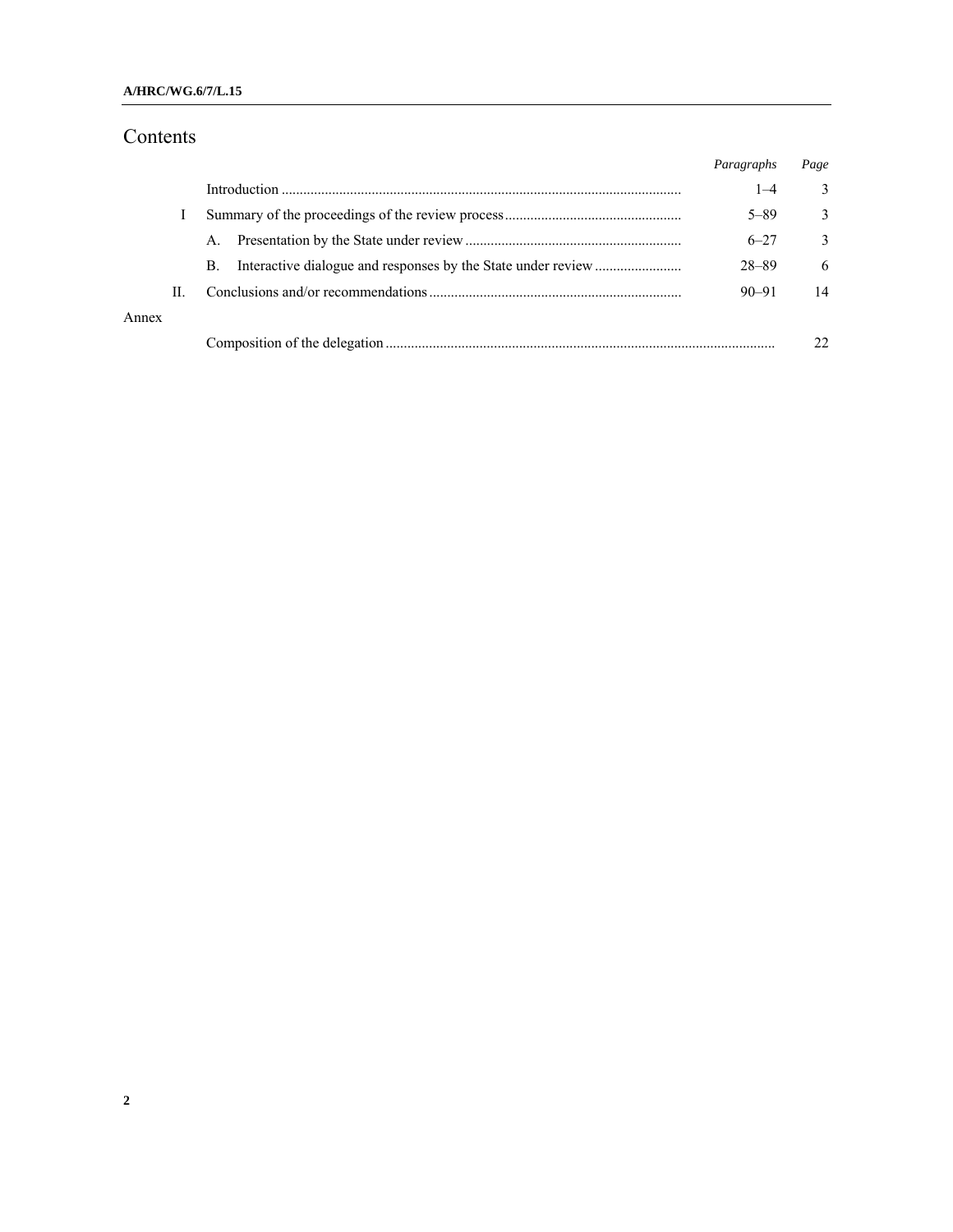## Contents

|       |    |                | Paragraphs | Page          |
|-------|----|----------------|------------|---------------|
|       |    |                | $1 - 4$    | 3             |
|       |    |                | $5 - 89$   | 3             |
|       |    | $\mathsf{A}$ . | $6 - 27$   | $\mathcal{E}$ |
|       |    | В.             | $28 - 89$  | 6             |
|       | Н. |                | $90 - 91$  | 14            |
| Annex |    |                |            |               |
|       |    |                |            |               |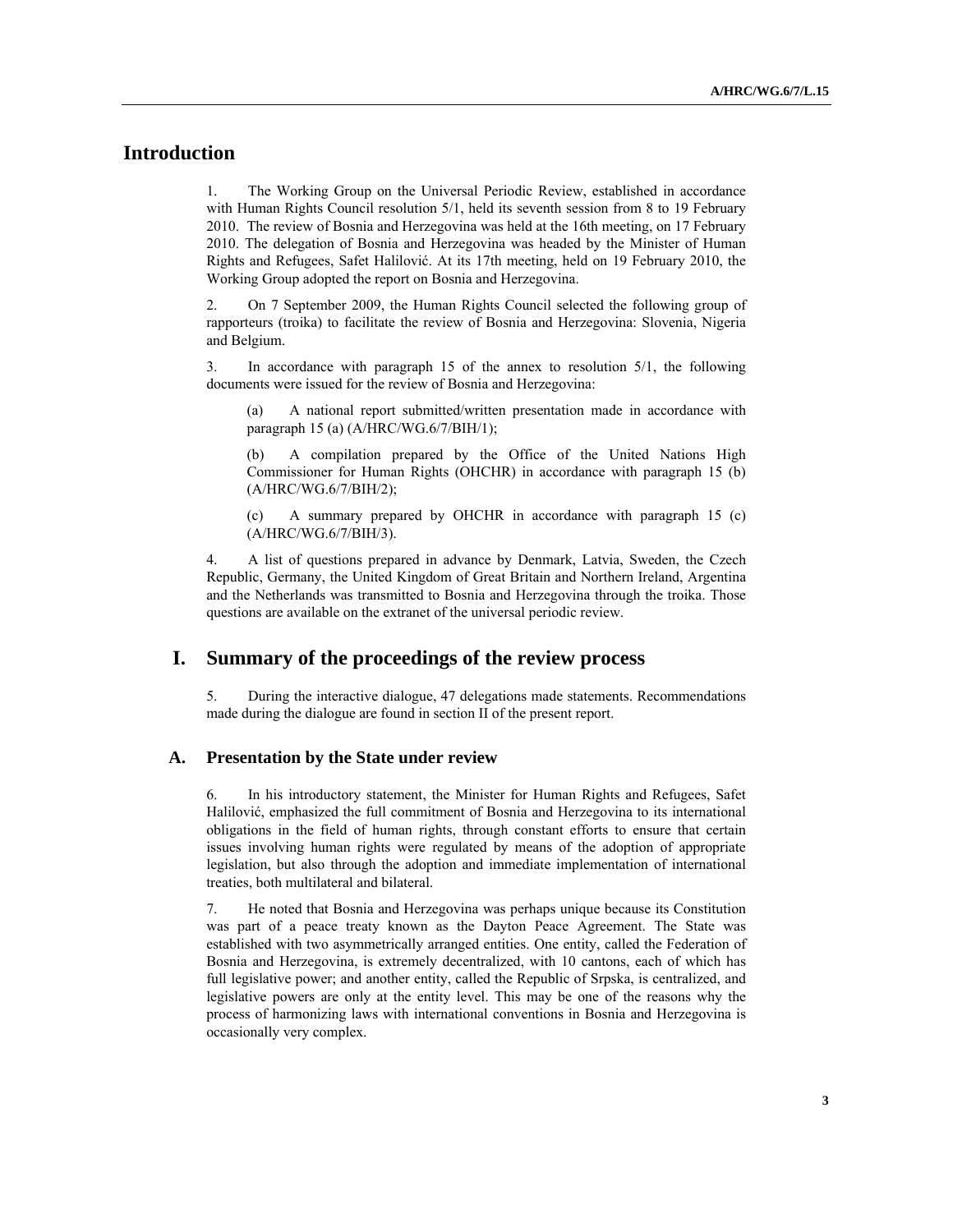## **Introduction**

1. The Working Group on the Universal Periodic Review, established in accordance with Human Rights Council resolution 5/1, held its seventh session from 8 to 19 February 2010. The review of Bosnia and Herzegovina was held at the 16th meeting, on 17 February 2010. The delegation of Bosnia and Herzegovina was headed by the Minister of Human Rights and Refugees, Safet Halilović. At its 17th meeting, held on 19 February 2010, the Working Group adopted the report on Bosnia and Herzegovina.

2. On 7 September 2009, the Human Rights Council selected the following group of rapporteurs (troika) to facilitate the review of Bosnia and Herzegovina: Slovenia, Nigeria and Belgium.

3. In accordance with paragraph 15 of the annex to resolution 5/1, the following documents were issued for the review of Bosnia and Herzegovina:

A national report submitted/written presentation made in accordance with paragraph 15 (a) (A/HRC/WG.6/7/BIH/1);

(b) A compilation prepared by the Office of the United Nations High Commissioner for Human Rights (OHCHR) in accordance with paragraph 15 (b) (A/HRC/WG.6/7/BIH/2);

(c) A summary prepared by OHCHR in accordance with paragraph 15 (c) (A/HRC/WG.6/7/BIH/3).

4. A list of questions prepared in advance by Denmark, Latvia, Sweden, the Czech Republic, Germany, the United Kingdom of Great Britain and Northern Ireland, Argentina and the Netherlands was transmitted to Bosnia and Herzegovina through the troika. Those questions are available on the extranet of the universal periodic review.

### **I. Summary of the proceedings of the review process**

5. During the interactive dialogue, 47 delegations made statements. Recommendations made during the dialogue are found in section II of the present report.

#### **A. Presentation by the State under review**

6. In his introductory statement, the Minister for Human Rights and Refugees, Safet Halilović, emphasized the full commitment of Bosnia and Herzegovina to its international obligations in the field of human rights, through constant efforts to ensure that certain issues involving human rights were regulated by means of the adoption of appropriate legislation, but also through the adoption and immediate implementation of international treaties, both multilateral and bilateral.

7. He noted that Bosnia and Herzegovina was perhaps unique because its Constitution was part of a peace treaty known as the Dayton Peace Agreement. The State was established with two asymmetrically arranged entities. One entity, called the Federation of Bosnia and Herzegovina, is extremely decentralized, with 10 cantons, each of which has full legislative power; and another entity, called the Republic of Srpska, is centralized, and legislative powers are only at the entity level. This may be one of the reasons why the process of harmonizing laws with international conventions in Bosnia and Herzegovina is occasionally very complex.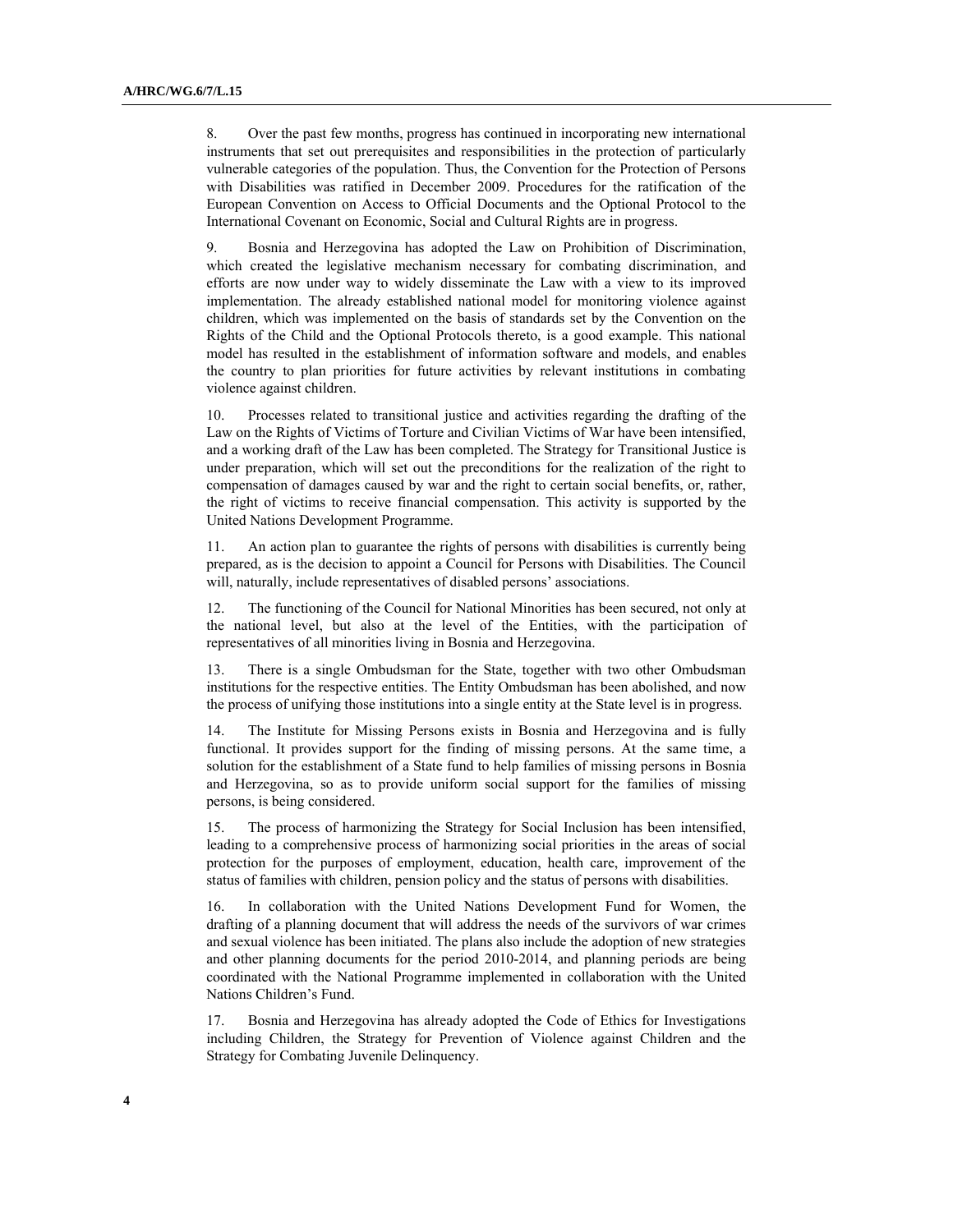8. Over the past few months, progress has continued in incorporating new international instruments that set out prerequisites and responsibilities in the protection of particularly vulnerable categories of the population. Thus, the Convention for the Protection of Persons with Disabilities was ratified in December 2009. Procedures for the ratification of the European Convention on Access to Official Documents and the Optional Protocol to the International Covenant on Economic, Social and Cultural Rights are in progress.

9. Bosnia and Herzegovina has adopted the Law on Prohibition of Discrimination, which created the legislative mechanism necessary for combating discrimination, and efforts are now under way to widely disseminate the Law with a view to its improved implementation. The already established national model for monitoring violence against children, which was implemented on the basis of standards set by the Convention on the Rights of the Child and the Optional Protocols thereto, is a good example. This national model has resulted in the establishment of information software and models, and enables the country to plan priorities for future activities by relevant institutions in combating violence against children.

10. Processes related to transitional justice and activities regarding the drafting of the Law on the Rights of Victims of Torture and Civilian Victims of War have been intensified, and a working draft of the Law has been completed. The Strategy for Transitional Justice is under preparation, which will set out the preconditions for the realization of the right to compensation of damages caused by war and the right to certain social benefits, or, rather, the right of victims to receive financial compensation. This activity is supported by the United Nations Development Programme.

11. An action plan to guarantee the rights of persons with disabilities is currently being prepared, as is the decision to appoint a Council for Persons with Disabilities. The Council will, naturally, include representatives of disabled persons' associations.

12. The functioning of the Council for National Minorities has been secured, not only at the national level, but also at the level of the Entities, with the participation of representatives of all minorities living in Bosnia and Herzegovina.

13. There is a single Ombudsman for the State, together with two other Ombudsman institutions for the respective entities. The Entity Ombudsman has been abolished, and now the process of unifying those institutions into a single entity at the State level is in progress.

14. The Institute for Missing Persons exists in Bosnia and Herzegovina and is fully functional. It provides support for the finding of missing persons. At the same time, a solution for the establishment of a State fund to help families of missing persons in Bosnia and Herzegovina, so as to provide uniform social support for the families of missing persons, is being considered.

15. The process of harmonizing the Strategy for Social Inclusion has been intensified, leading to a comprehensive process of harmonizing social priorities in the areas of social protection for the purposes of employment, education, health care, improvement of the status of families with children, pension policy and the status of persons with disabilities.

16. In collaboration with the United Nations Development Fund for Women, the drafting of a planning document that will address the needs of the survivors of war crimes and sexual violence has been initiated. The plans also include the adoption of new strategies and other planning documents for the period 2010-2014, and planning periods are being coordinated with the National Programme implemented in collaboration with the United Nations Children's Fund.

17. Bosnia and Herzegovina has already adopted the Code of Ethics for Investigations including Children, the Strategy for Prevention of Violence against Children and the Strategy for Combating Juvenile Delinquency.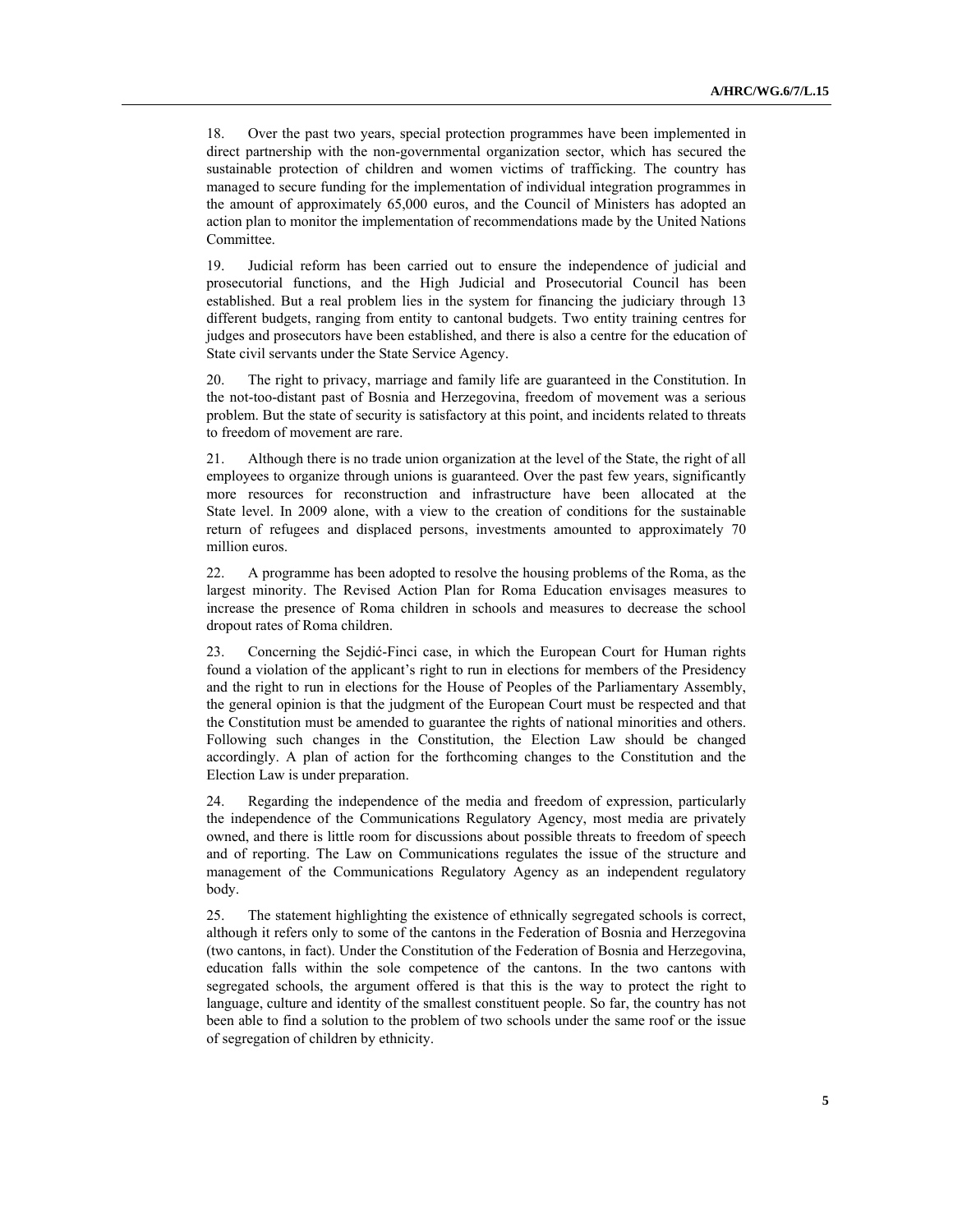18. Over the past two years, special protection programmes have been implemented in direct partnership with the non-governmental organization sector, which has secured the sustainable protection of children and women victims of trafficking. The country has managed to secure funding for the implementation of individual integration programmes in the amount of approximately 65,000 euros, and the Council of Ministers has adopted an action plan to monitor the implementation of recommendations made by the United Nations Committee.

19. Judicial reform has been carried out to ensure the independence of judicial and prosecutorial functions, and the High Judicial and Prosecutorial Council has been established. But a real problem lies in the system for financing the judiciary through 13 different budgets, ranging from entity to cantonal budgets. Two entity training centres for judges and prosecutors have been established, and there is also a centre for the education of State civil servants under the State Service Agency.

20. The right to privacy, marriage and family life are guaranteed in the Constitution. In the not-too-distant past of Bosnia and Herzegovina, freedom of movement was a serious problem. But the state of security is satisfactory at this point, and incidents related to threats to freedom of movement are rare.

21. Although there is no trade union organization at the level of the State, the right of all employees to organize through unions is guaranteed. Over the past few years, significantly more resources for reconstruction and infrastructure have been allocated at the State level. In 2009 alone, with a view to the creation of conditions for the sustainable return of refugees and displaced persons, investments amounted to approximately 70 million euros.

22. A programme has been adopted to resolve the housing problems of the Roma, as the largest minority. The Revised Action Plan for Roma Education envisages measures to increase the presence of Roma children in schools and measures to decrease the school dropout rates of Roma children.

23. Concerning the Sejdić-Finci case, in which the European Court for Human rights found a violation of the applicant's right to run in elections for members of the Presidency and the right to run in elections for the House of Peoples of the Parliamentary Assembly, the general opinion is that the judgment of the European Court must be respected and that the Constitution must be amended to guarantee the rights of national minorities and others. Following such changes in the Constitution, the Election Law should be changed accordingly. A plan of action for the forthcoming changes to the Constitution and the Election Law is under preparation.

24. Regarding the independence of the media and freedom of expression, particularly the independence of the Communications Regulatory Agency, most media are privately owned, and there is little room for discussions about possible threats to freedom of speech and of reporting. The Law on Communications regulates the issue of the structure and management of the Communications Regulatory Agency as an independent regulatory body.

25. The statement highlighting the existence of ethnically segregated schools is correct, although it refers only to some of the cantons in the Federation of Bosnia and Herzegovina (two cantons, in fact). Under the Constitution of the Federation of Bosnia and Herzegovina, education falls within the sole competence of the cantons. In the two cantons with segregated schools, the argument offered is that this is the way to protect the right to language, culture and identity of the smallest constituent people. So far, the country has not been able to find a solution to the problem of two schools under the same roof or the issue of segregation of children by ethnicity.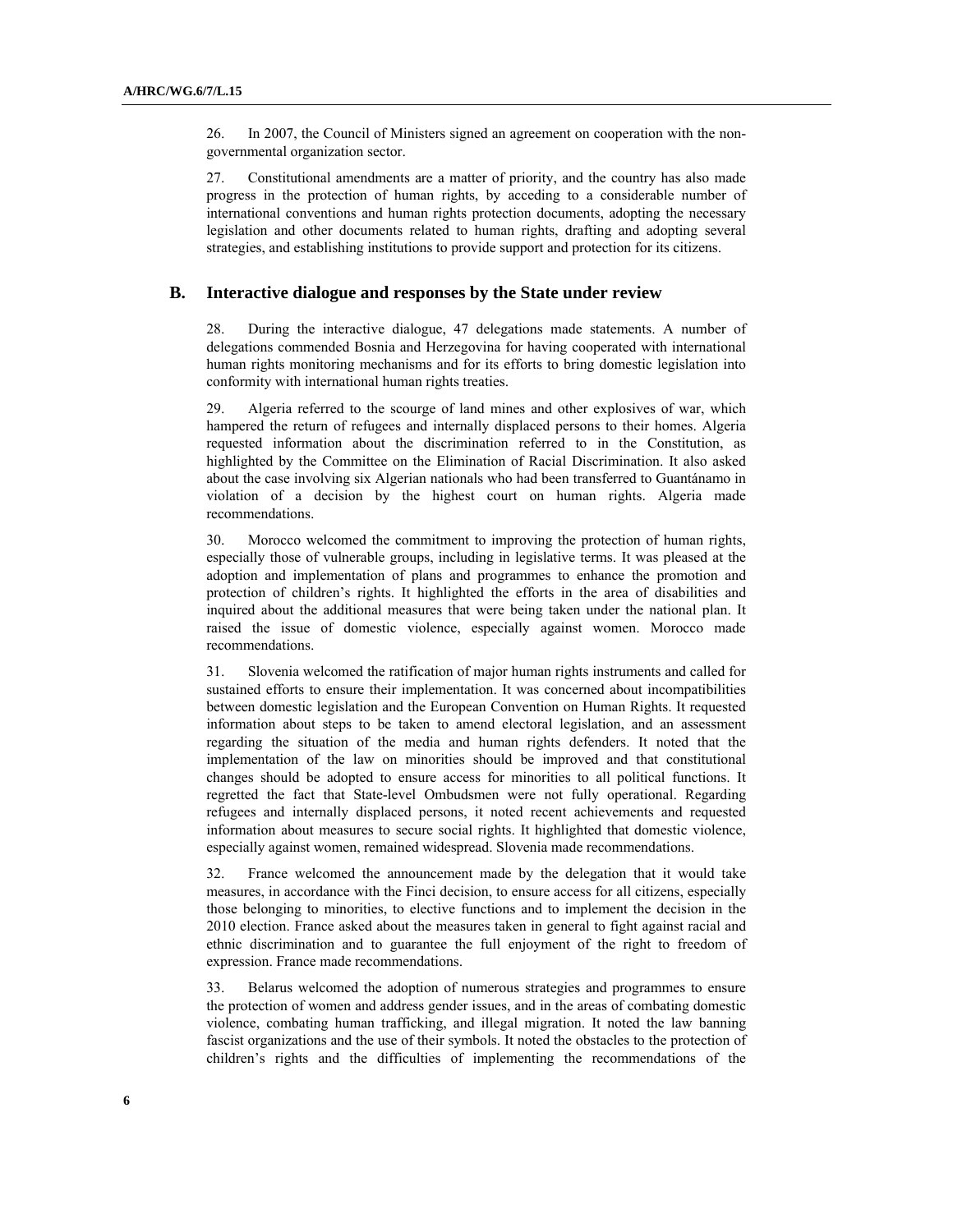26. In 2007, the Council of Ministers signed an agreement on cooperation with the nongovernmental organization sector.

27. Constitutional amendments are a matter of priority, and the country has also made progress in the protection of human rights, by acceding to a considerable number of international conventions and human rights protection documents, adopting the necessary legislation and other documents related to human rights, drafting and adopting several strategies, and establishing institutions to provide support and protection for its citizens.

#### **B. Interactive dialogue and responses by the State under review**

28. During the interactive dialogue, 47 delegations made statements. A number of delegations commended Bosnia and Herzegovina for having cooperated with international human rights monitoring mechanisms and for its efforts to bring domestic legislation into conformity with international human rights treaties.

29. Algeria referred to the scourge of land mines and other explosives of war, which hampered the return of refugees and internally displaced persons to their homes. Algeria requested information about the discrimination referred to in the Constitution, as highlighted by the Committee on the Elimination of Racial Discrimination. It also asked about the case involving six Algerian nationals who had been transferred to Guantánamo in violation of a decision by the highest court on human rights. Algeria made recommendations.

30. Morocco welcomed the commitment to improving the protection of human rights, especially those of vulnerable groups, including in legislative terms. It was pleased at the adoption and implementation of plans and programmes to enhance the promotion and protection of children's rights. It highlighted the efforts in the area of disabilities and inquired about the additional measures that were being taken under the national plan. It raised the issue of domestic violence, especially against women. Morocco made recommendations.

31. Slovenia welcomed the ratification of major human rights instruments and called for sustained efforts to ensure their implementation. It was concerned about incompatibilities between domestic legislation and the European Convention on Human Rights. It requested information about steps to be taken to amend electoral legislation, and an assessment regarding the situation of the media and human rights defenders. It noted that the implementation of the law on minorities should be improved and that constitutional changes should be adopted to ensure access for minorities to all political functions. It regretted the fact that State-level Ombudsmen were not fully operational. Regarding refugees and internally displaced persons, it noted recent achievements and requested information about measures to secure social rights. It highlighted that domestic violence, especially against women, remained widespread. Slovenia made recommendations.

32. France welcomed the announcement made by the delegation that it would take measures, in accordance with the Finci decision, to ensure access for all citizens, especially those belonging to minorities, to elective functions and to implement the decision in the 2010 election. France asked about the measures taken in general to fight against racial and ethnic discrimination and to guarantee the full enjoyment of the right to freedom of expression. France made recommendations.

33. Belarus welcomed the adoption of numerous strategies and programmes to ensure the protection of women and address gender issues, and in the areas of combating domestic violence, combating human trafficking, and illegal migration. It noted the law banning fascist organizations and the use of their symbols. It noted the obstacles to the protection of children's rights and the difficulties of implementing the recommendations of the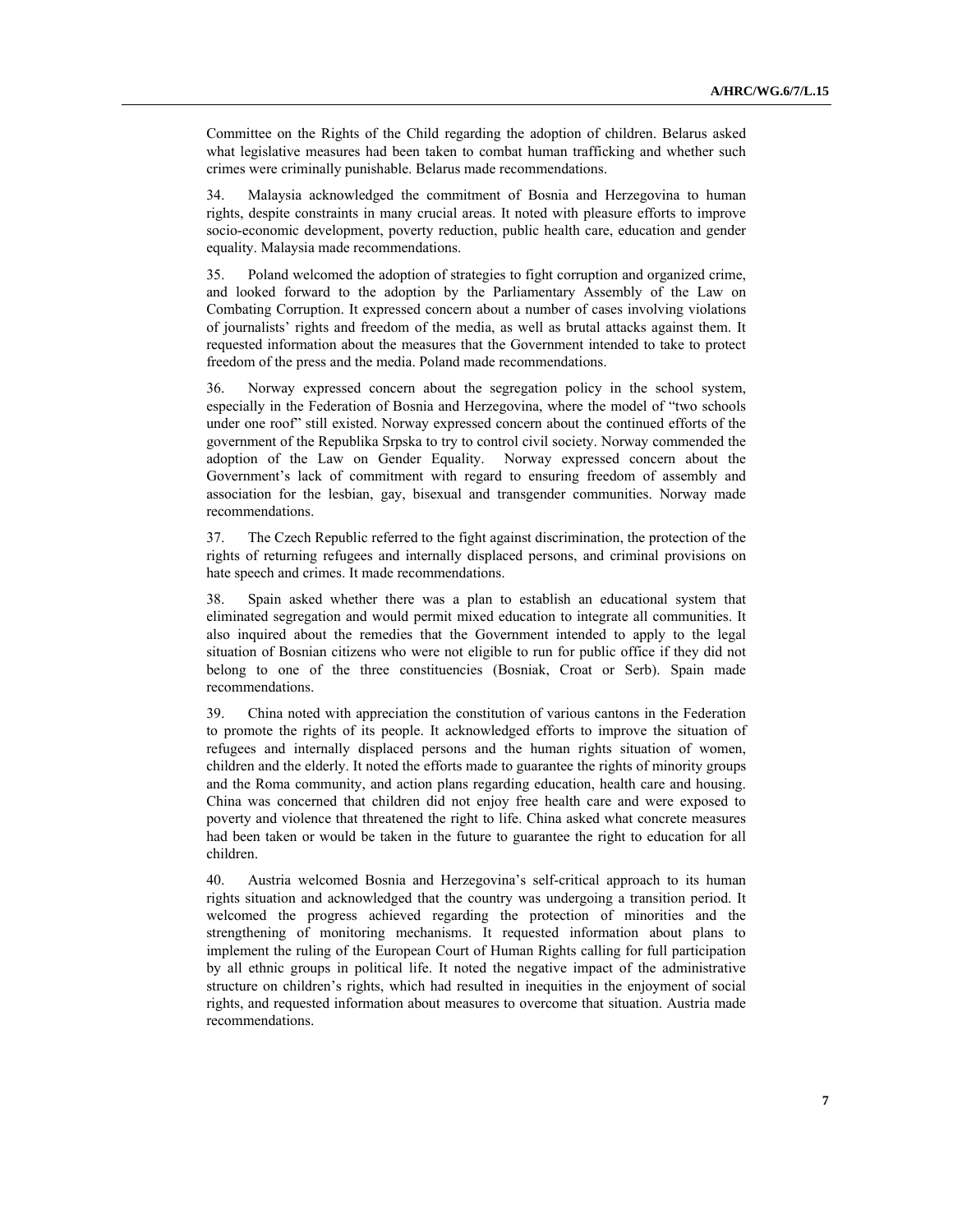Committee on the Rights of the Child regarding the adoption of children. Belarus asked what legislative measures had been taken to combat human trafficking and whether such crimes were criminally punishable. Belarus made recommendations.

34. Malaysia acknowledged the commitment of Bosnia and Herzegovina to human rights, despite constraints in many crucial areas. It noted with pleasure efforts to improve socio-economic development, poverty reduction, public health care, education and gender equality. Malaysia made recommendations.

35. Poland welcomed the adoption of strategies to fight corruption and organized crime, and looked forward to the adoption by the Parliamentary Assembly of the Law on Combating Corruption. It expressed concern about a number of cases involving violations of journalists' rights and freedom of the media, as well as brutal attacks against them. It requested information about the measures that the Government intended to take to protect freedom of the press and the media. Poland made recommendations.

36. Norway expressed concern about the segregation policy in the school system, especially in the Federation of Bosnia and Herzegovina, where the model of "two schools under one roof" still existed. Norway expressed concern about the continued efforts of the government of the Republika Srpska to try to control civil society. Norway commended the adoption of the Law on Gender Equality. Norway expressed concern about the Government's lack of commitment with regard to ensuring freedom of assembly and association for the lesbian, gay, bisexual and transgender communities. Norway made recommendations.

37. The Czech Republic referred to the fight against discrimination, the protection of the rights of returning refugees and internally displaced persons, and criminal provisions on hate speech and crimes. It made recommendations.

38. Spain asked whether there was a plan to establish an educational system that eliminated segregation and would permit mixed education to integrate all communities. It also inquired about the remedies that the Government intended to apply to the legal situation of Bosnian citizens who were not eligible to run for public office if they did not belong to one of the three constituencies (Bosniak, Croat or Serb). Spain made recommendations.

39. China noted with appreciation the constitution of various cantons in the Federation to promote the rights of its people. It acknowledged efforts to improve the situation of refugees and internally displaced persons and the human rights situation of women, children and the elderly. It noted the efforts made to guarantee the rights of minority groups and the Roma community, and action plans regarding education, health care and housing. China was concerned that children did not enjoy free health care and were exposed to poverty and violence that threatened the right to life. China asked what concrete measures had been taken or would be taken in the future to guarantee the right to education for all children.

40. Austria welcomed Bosnia and Herzegovina's self-critical approach to its human rights situation and acknowledged that the country was undergoing a transition period. It welcomed the progress achieved regarding the protection of minorities and the strengthening of monitoring mechanisms. It requested information about plans to implement the ruling of the European Court of Human Rights calling for full participation by all ethnic groups in political life. It noted the negative impact of the administrative structure on children's rights, which had resulted in inequities in the enjoyment of social rights, and requested information about measures to overcome that situation. Austria made recommendations.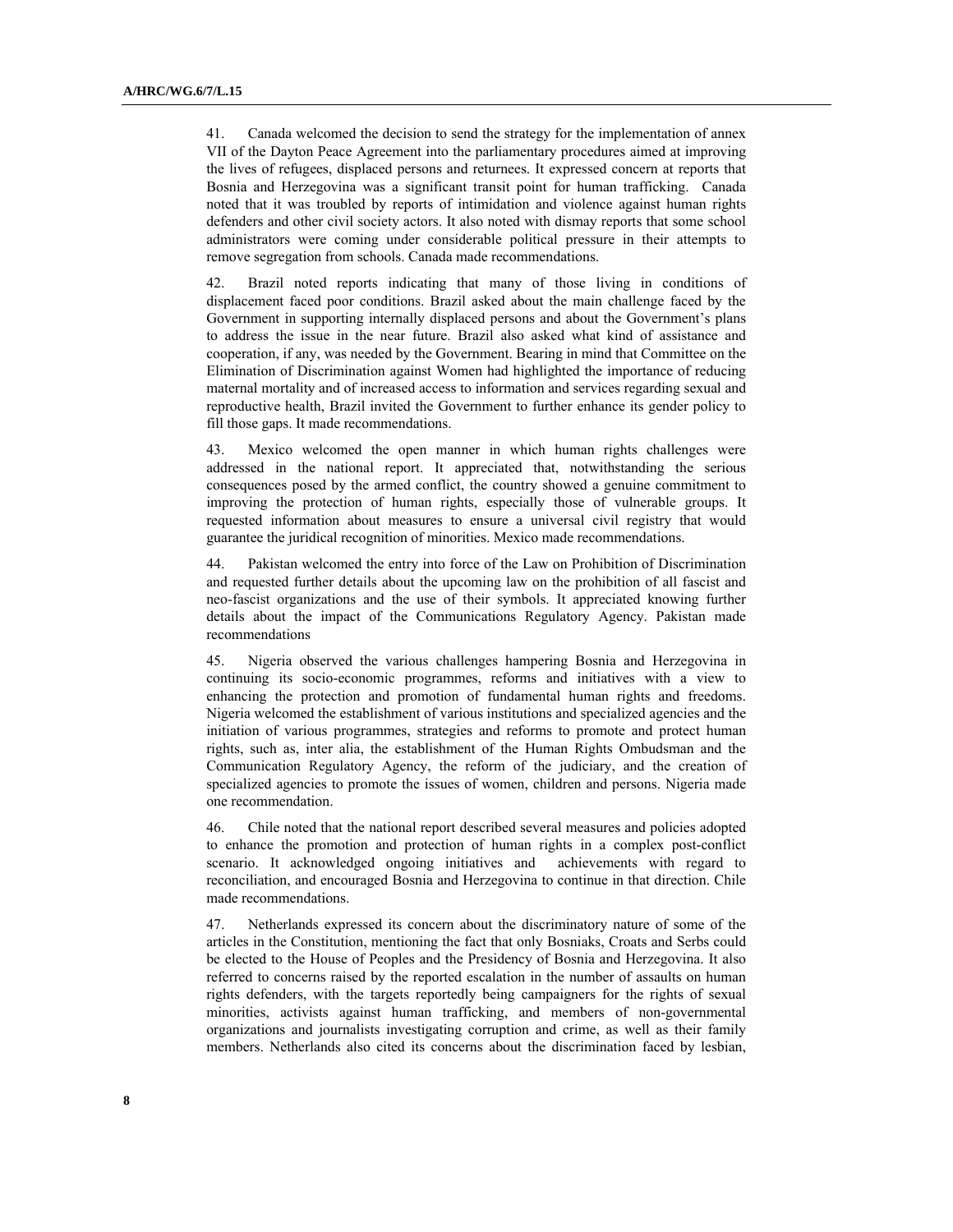41. Canada welcomed the decision to send the strategy for the implementation of annex VII of the Dayton Peace Agreement into the parliamentary procedures aimed at improving the lives of refugees, displaced persons and returnees. It expressed concern at reports that Bosnia and Herzegovina was a significant transit point for human trafficking. Canada noted that it was troubled by reports of intimidation and violence against human rights defenders and other civil society actors. It also noted with dismay reports that some school administrators were coming under considerable political pressure in their attempts to remove segregation from schools. Canada made recommendations.

42. Brazil noted reports indicating that many of those living in conditions of displacement faced poor conditions. Brazil asked about the main challenge faced by the Government in supporting internally displaced persons and about the Government's plans to address the issue in the near future. Brazil also asked what kind of assistance and cooperation, if any, was needed by the Government. Bearing in mind that Committee on the Elimination of Discrimination against Women had highlighted the importance of reducing maternal mortality and of increased access to information and services regarding sexual and reproductive health, Brazil invited the Government to further enhance its gender policy to fill those gaps. It made recommendations.

43. Mexico welcomed the open manner in which human rights challenges were addressed in the national report. It appreciated that, notwithstanding the serious consequences posed by the armed conflict, the country showed a genuine commitment to improving the protection of human rights, especially those of vulnerable groups. It requested information about measures to ensure a universal civil registry that would guarantee the juridical recognition of minorities. Mexico made recommendations.

44. Pakistan welcomed the entry into force of the Law on Prohibition of Discrimination and requested further details about the upcoming law on the prohibition of all fascist and neo-fascist organizations and the use of their symbols. It appreciated knowing further details about the impact of the Communications Regulatory Agency. Pakistan made recommendations

45. Nigeria observed the various challenges hampering Bosnia and Herzegovina in continuing its socio-economic programmes, reforms and initiatives with a view to enhancing the protection and promotion of fundamental human rights and freedoms. Nigeria welcomed the establishment of various institutions and specialized agencies and the initiation of various programmes, strategies and reforms to promote and protect human rights, such as, inter alia, the establishment of the Human Rights Ombudsman and the Communication Regulatory Agency, the reform of the judiciary, and the creation of specialized agencies to promote the issues of women, children and persons. Nigeria made one recommendation.

46. Chile noted that the national report described several measures and policies adopted to enhance the promotion and protection of human rights in a complex post-conflict scenario. It acknowledged ongoing initiatives and achievements with regard to reconciliation, and encouraged Bosnia and Herzegovina to continue in that direction. Chile made recommendations.

47. Netherlands expressed its concern about the discriminatory nature of some of the articles in the Constitution, mentioning the fact that only Bosniaks, Croats and Serbs could be elected to the House of Peoples and the Presidency of Bosnia and Herzegovina. It also referred to concerns raised by the reported escalation in the number of assaults on human rights defenders, with the targets reportedly being campaigners for the rights of sexual minorities, activists against human trafficking, and members of non-governmental organizations and journalists investigating corruption and crime, as well as their family members. Netherlands also cited its concerns about the discrimination faced by lesbian,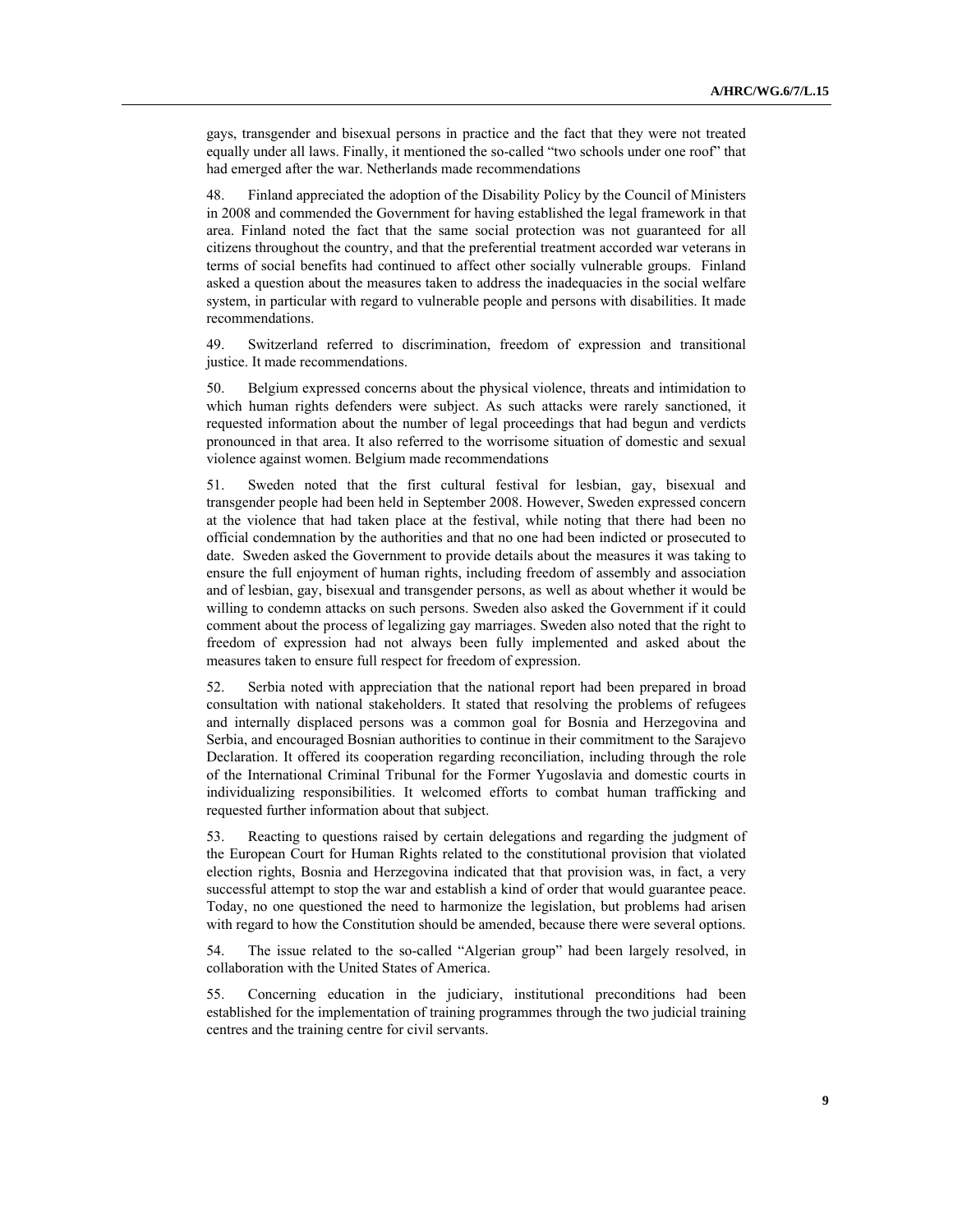gays, transgender and bisexual persons in practice and the fact that they were not treated equally under all laws. Finally, it mentioned the so-called "two schools under one roof" that had emerged after the war. Netherlands made recommendations

48. Finland appreciated the adoption of the Disability Policy by the Council of Ministers in 2008 and commended the Government for having established the legal framework in that area. Finland noted the fact that the same social protection was not guaranteed for all citizens throughout the country, and that the preferential treatment accorded war veterans in terms of social benefits had continued to affect other socially vulnerable groups. Finland asked a question about the measures taken to address the inadequacies in the social welfare system, in particular with regard to vulnerable people and persons with disabilities. It made recommendations.

49. Switzerland referred to discrimination, freedom of expression and transitional justice. It made recommendations.

50. Belgium expressed concerns about the physical violence, threats and intimidation to which human rights defenders were subject. As such attacks were rarely sanctioned, it requested information about the number of legal proceedings that had begun and verdicts pronounced in that area. It also referred to the worrisome situation of domestic and sexual violence against women. Belgium made recommendations

51. Sweden noted that the first cultural festival for lesbian, gay, bisexual and transgender people had been held in September 2008. However, Sweden expressed concern at the violence that had taken place at the festival, while noting that there had been no official condemnation by the authorities and that no one had been indicted or prosecuted to date. Sweden asked the Government to provide details about the measures it was taking to ensure the full enjoyment of human rights, including freedom of assembly and association and of lesbian, gay, bisexual and transgender persons, as well as about whether it would be willing to condemn attacks on such persons. Sweden also asked the Government if it could comment about the process of legalizing gay marriages. Sweden also noted that the right to freedom of expression had not always been fully implemented and asked about the measures taken to ensure full respect for freedom of expression.

52. Serbia noted with appreciation that the national report had been prepared in broad consultation with national stakeholders. It stated that resolving the problems of refugees and internally displaced persons was a common goal for Bosnia and Herzegovina and Serbia, and encouraged Bosnian authorities to continue in their commitment to the Sarajevo Declaration. It offered its cooperation regarding reconciliation, including through the role of the International Criminal Tribunal for the Former Yugoslavia and domestic courts in individualizing responsibilities. It welcomed efforts to combat human trafficking and requested further information about that subject.

53. Reacting to questions raised by certain delegations and regarding the judgment of the European Court for Human Rights related to the constitutional provision that violated election rights, Bosnia and Herzegovina indicated that that provision was, in fact, a very successful attempt to stop the war and establish a kind of order that would guarantee peace. Today, no one questioned the need to harmonize the legislation, but problems had arisen with regard to how the Constitution should be amended, because there were several options.

54. The issue related to the so-called "Algerian group" had been largely resolved, in collaboration with the United States of America.

55. Concerning education in the judiciary, institutional preconditions had been established for the implementation of training programmes through the two judicial training centres and the training centre for civil servants.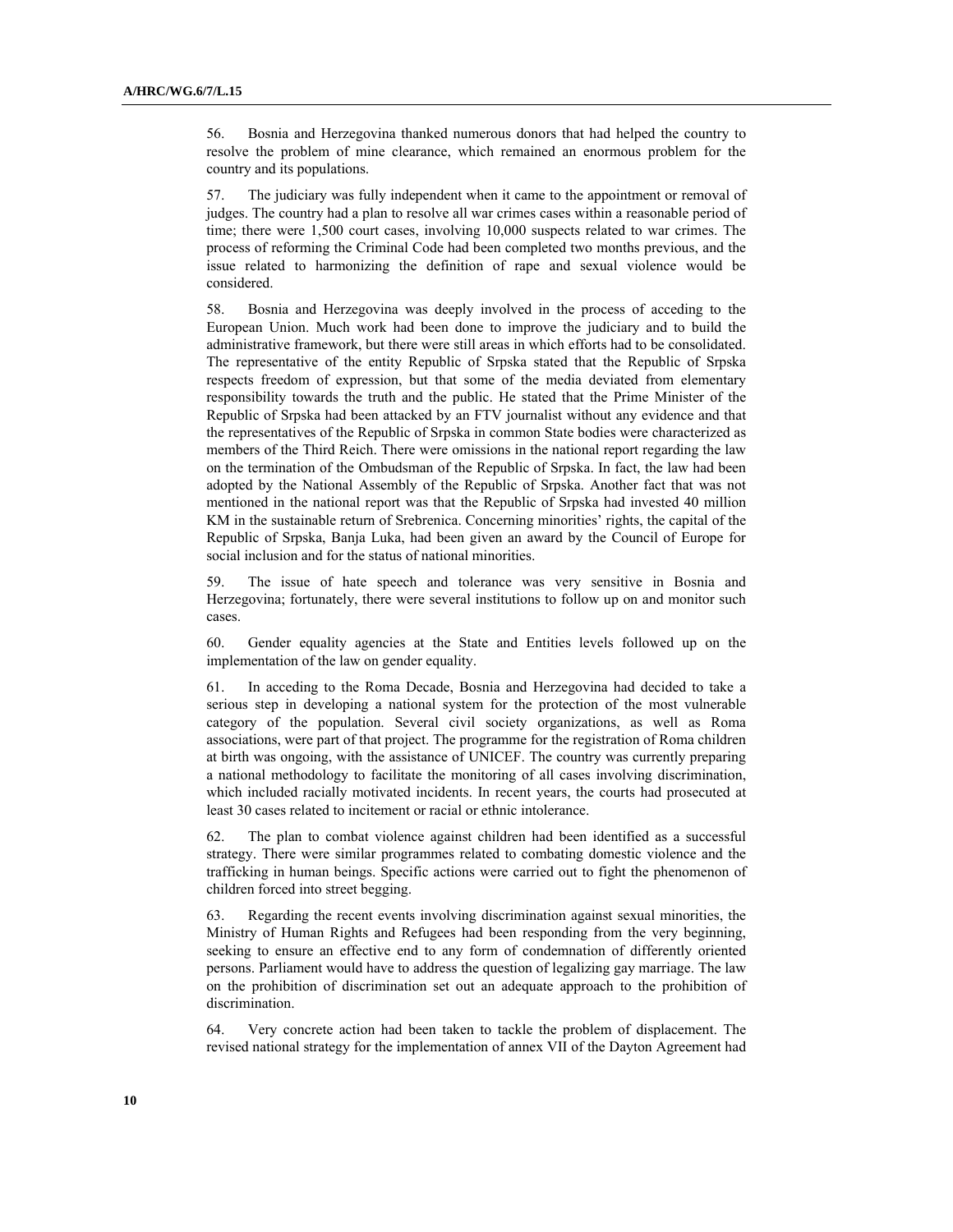56. Bosnia and Herzegovina thanked numerous donors that had helped the country to resolve the problem of mine clearance, which remained an enormous problem for the country and its populations.

57. The judiciary was fully independent when it came to the appointment or removal of judges. The country had a plan to resolve all war crimes cases within a reasonable period of time; there were 1,500 court cases, involving 10,000 suspects related to war crimes. The process of reforming the Criminal Code had been completed two months previous, and the issue related to harmonizing the definition of rape and sexual violence would be considered.

58. Bosnia and Herzegovina was deeply involved in the process of acceding to the European Union. Much work had been done to improve the judiciary and to build the administrative framework, but there were still areas in which efforts had to be consolidated. The representative of the entity Republic of Srpska stated that the Republic of Srpska respects freedom of expression, but that some of the media deviated from elementary responsibility towards the truth and the public. He stated that the Prime Minister of the Republic of Srpska had been attacked by an FTV journalist without any evidence and that the representatives of the Republic of Srpska in common State bodies were characterized as members of the Third Reich. There were omissions in the national report regarding the law on the termination of the Ombudsman of the Republic of Srpska. In fact, the law had been adopted by the National Assembly of the Republic of Srpska. Another fact that was not mentioned in the national report was that the Republic of Srpska had invested 40 million KM in the sustainable return of Srebrenica. Concerning minorities' rights, the capital of the Republic of Srpska, Banja Luka, had been given an award by the Council of Europe for social inclusion and for the status of national minorities.

59. The issue of hate speech and tolerance was very sensitive in Bosnia and Herzegovina; fortunately, there were several institutions to follow up on and monitor such cases.

60. Gender equality agencies at the State and Entities levels followed up on the implementation of the law on gender equality.

61. In acceding to the Roma Decade, Bosnia and Herzegovina had decided to take a serious step in developing a national system for the protection of the most vulnerable category of the population. Several civil society organizations, as well as Roma associations, were part of that project. The programme for the registration of Roma children at birth was ongoing, with the assistance of UNICEF. The country was currently preparing a national methodology to facilitate the monitoring of all cases involving discrimination, which included racially motivated incidents. In recent years, the courts had prosecuted at least 30 cases related to incitement or racial or ethnic intolerance.

62. The plan to combat violence against children had been identified as a successful strategy. There were similar programmes related to combating domestic violence and the trafficking in human beings. Specific actions were carried out to fight the phenomenon of children forced into street begging.

63. Regarding the recent events involving discrimination against sexual minorities, the Ministry of Human Rights and Refugees had been responding from the very beginning, seeking to ensure an effective end to any form of condemnation of differently oriented persons. Parliament would have to address the question of legalizing gay marriage. The law on the prohibition of discrimination set out an adequate approach to the prohibition of discrimination.

64. Very concrete action had been taken to tackle the problem of displacement. The revised national strategy for the implementation of annex VII of the Dayton Agreement had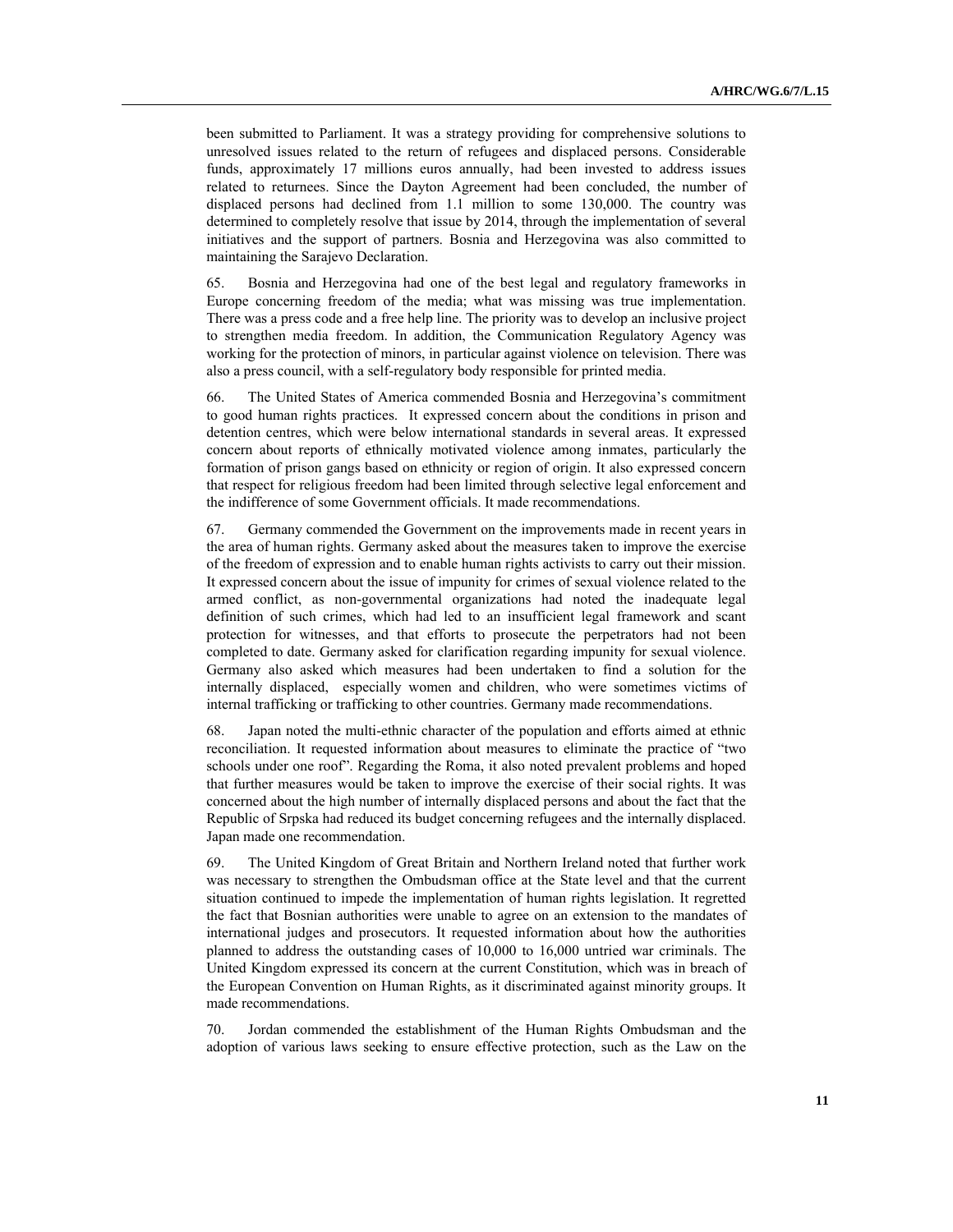been submitted to Parliament. It was a strategy providing for comprehensive solutions to unresolved issues related to the return of refugees and displaced persons. Considerable funds, approximately 17 millions euros annually, had been invested to address issues related to returnees. Since the Dayton Agreement had been concluded, the number of displaced persons had declined from 1.1 million to some 130,000. The country was determined to completely resolve that issue by 2014, through the implementation of several initiatives and the support of partners. Bosnia and Herzegovina was also committed to maintaining the Sarajevo Declaration.

65. Bosnia and Herzegovina had one of the best legal and regulatory frameworks in Europe concerning freedom of the media; what was missing was true implementation. There was a press code and a free help line. The priority was to develop an inclusive project to strengthen media freedom. In addition, the Communication Regulatory Agency was working for the protection of minors, in particular against violence on television. There was also a press council, with a self-regulatory body responsible for printed media.

66. The United States of America commended Bosnia and Herzegovina's commitment to good human rights practices. It expressed concern about the conditions in prison and detention centres, which were below international standards in several areas. It expressed concern about reports of ethnically motivated violence among inmates, particularly the formation of prison gangs based on ethnicity or region of origin. It also expressed concern that respect for religious freedom had been limited through selective legal enforcement and the indifference of some Government officials. It made recommendations.

67. Germany commended the Government on the improvements made in recent years in the area of human rights. Germany asked about the measures taken to improve the exercise of the freedom of expression and to enable human rights activists to carry out their mission. It expressed concern about the issue of impunity for crimes of sexual violence related to the armed conflict, as non-governmental organizations had noted the inadequate legal definition of such crimes, which had led to an insufficient legal framework and scant protection for witnesses, and that efforts to prosecute the perpetrators had not been completed to date. Germany asked for clarification regarding impunity for sexual violence. Germany also asked which measures had been undertaken to find a solution for the internally displaced, especially women and children, who were sometimes victims of internal trafficking or trafficking to other countries. Germany made recommendations.

68. Japan noted the multi-ethnic character of the population and efforts aimed at ethnic reconciliation. It requested information about measures to eliminate the practice of "two schools under one roof". Regarding the Roma, it also noted prevalent problems and hoped that further measures would be taken to improve the exercise of their social rights. It was concerned about the high number of internally displaced persons and about the fact that the Republic of Srpska had reduced its budget concerning refugees and the internally displaced. Japan made one recommendation.

69. The United Kingdom of Great Britain and Northern Ireland noted that further work was necessary to strengthen the Ombudsman office at the State level and that the current situation continued to impede the implementation of human rights legislation. It regretted the fact that Bosnian authorities were unable to agree on an extension to the mandates of international judges and prosecutors. It requested information about how the authorities planned to address the outstanding cases of 10,000 to 16,000 untried war criminals. The United Kingdom expressed its concern at the current Constitution, which was in breach of the European Convention on Human Rights, as it discriminated against minority groups. It made recommendations.

70. Jordan commended the establishment of the Human Rights Ombudsman and the adoption of various laws seeking to ensure effective protection, such as the Law on the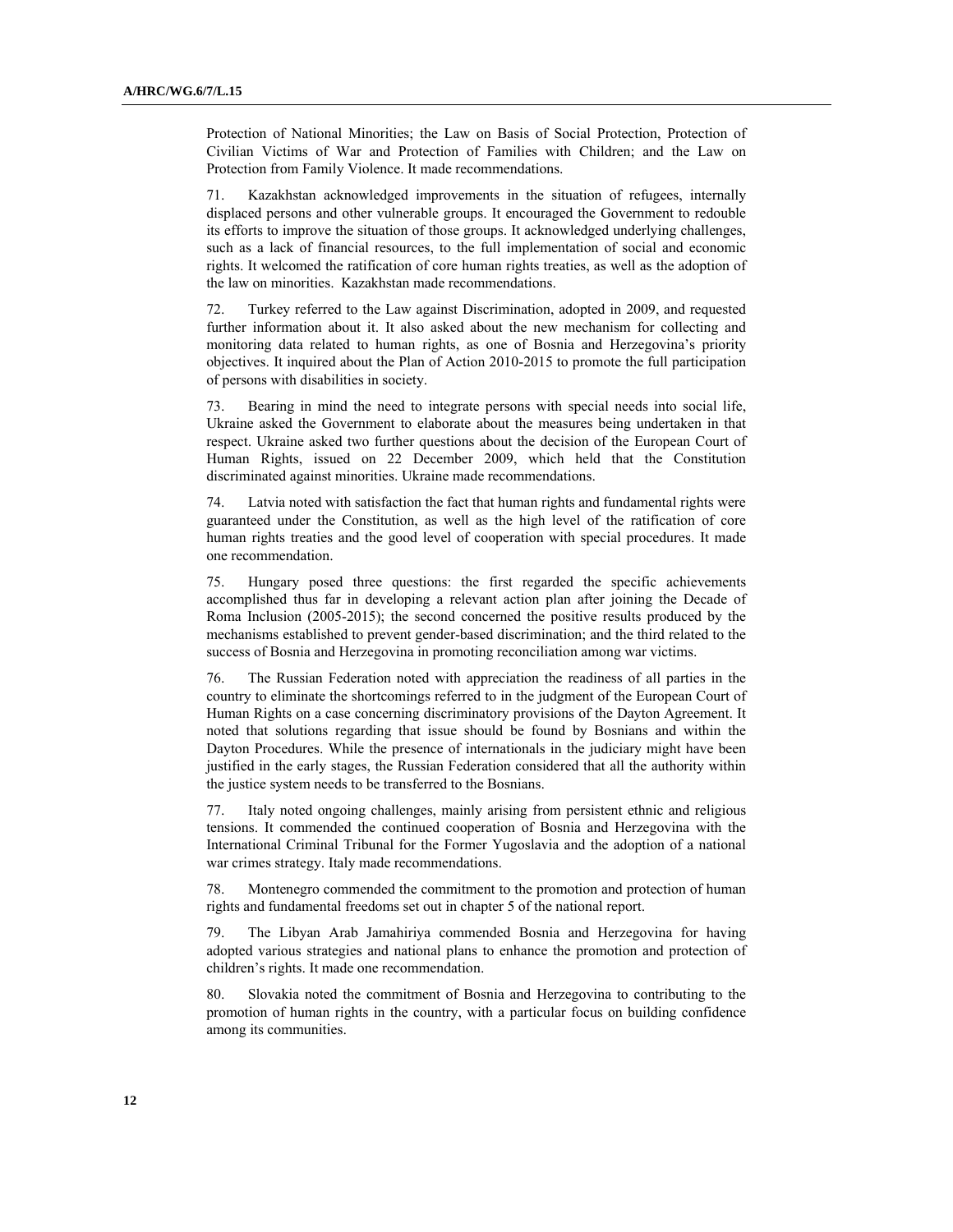Protection of National Minorities; the Law on Basis of Social Protection, Protection of Civilian Victims of War and Protection of Families with Children; and the Law on Protection from Family Violence. It made recommendations.

71. Kazakhstan acknowledged improvements in the situation of refugees, internally displaced persons and other vulnerable groups. It encouraged the Government to redouble its efforts to improve the situation of those groups. It acknowledged underlying challenges, such as a lack of financial resources, to the full implementation of social and economic rights. It welcomed the ratification of core human rights treaties, as well as the adoption of the law on minorities. Kazakhstan made recommendations.

72. Turkey referred to the Law against Discrimination, adopted in 2009, and requested further information about it. It also asked about the new mechanism for collecting and monitoring data related to human rights, as one of Bosnia and Herzegovina's priority objectives. It inquired about the Plan of Action 2010-2015 to promote the full participation of persons with disabilities in society.

73. Bearing in mind the need to integrate persons with special needs into social life, Ukraine asked the Government to elaborate about the measures being undertaken in that respect. Ukraine asked two further questions about the decision of the European Court of Human Rights, issued on 22 December 2009, which held that the Constitution discriminated against minorities. Ukraine made recommendations.

74. Latvia noted with satisfaction the fact that human rights and fundamental rights were guaranteed under the Constitution, as well as the high level of the ratification of core human rights treaties and the good level of cooperation with special procedures. It made one recommendation.

75. Hungary posed three questions: the first regarded the specific achievements accomplished thus far in developing a relevant action plan after joining the Decade of Roma Inclusion (2005-2015); the second concerned the positive results produced by the mechanisms established to prevent gender-based discrimination; and the third related to the success of Bosnia and Herzegovina in promoting reconciliation among war victims.

76. The Russian Federation noted with appreciation the readiness of all parties in the country to eliminate the shortcomings referred to in the judgment of the European Court of Human Rights on a case concerning discriminatory provisions of the Dayton Agreement. It noted that solutions regarding that issue should be found by Bosnians and within the Dayton Procedures. While the presence of internationals in the judiciary might have been justified in the early stages, the Russian Federation considered that all the authority within the justice system needs to be transferred to the Bosnians.

77. Italy noted ongoing challenges, mainly arising from persistent ethnic and religious tensions. It commended the continued cooperation of Bosnia and Herzegovina with the International Criminal Tribunal for the Former Yugoslavia and the adoption of a national war crimes strategy. Italy made recommendations.

78. Montenegro commended the commitment to the promotion and protection of human rights and fundamental freedoms set out in chapter 5 of the national report.

79. The Libyan Arab Jamahiriya commended Bosnia and Herzegovina for having adopted various strategies and national plans to enhance the promotion and protection of children's rights. It made one recommendation.

80. Slovakia noted the commitment of Bosnia and Herzegovina to contributing to the promotion of human rights in the country, with a particular focus on building confidence among its communities.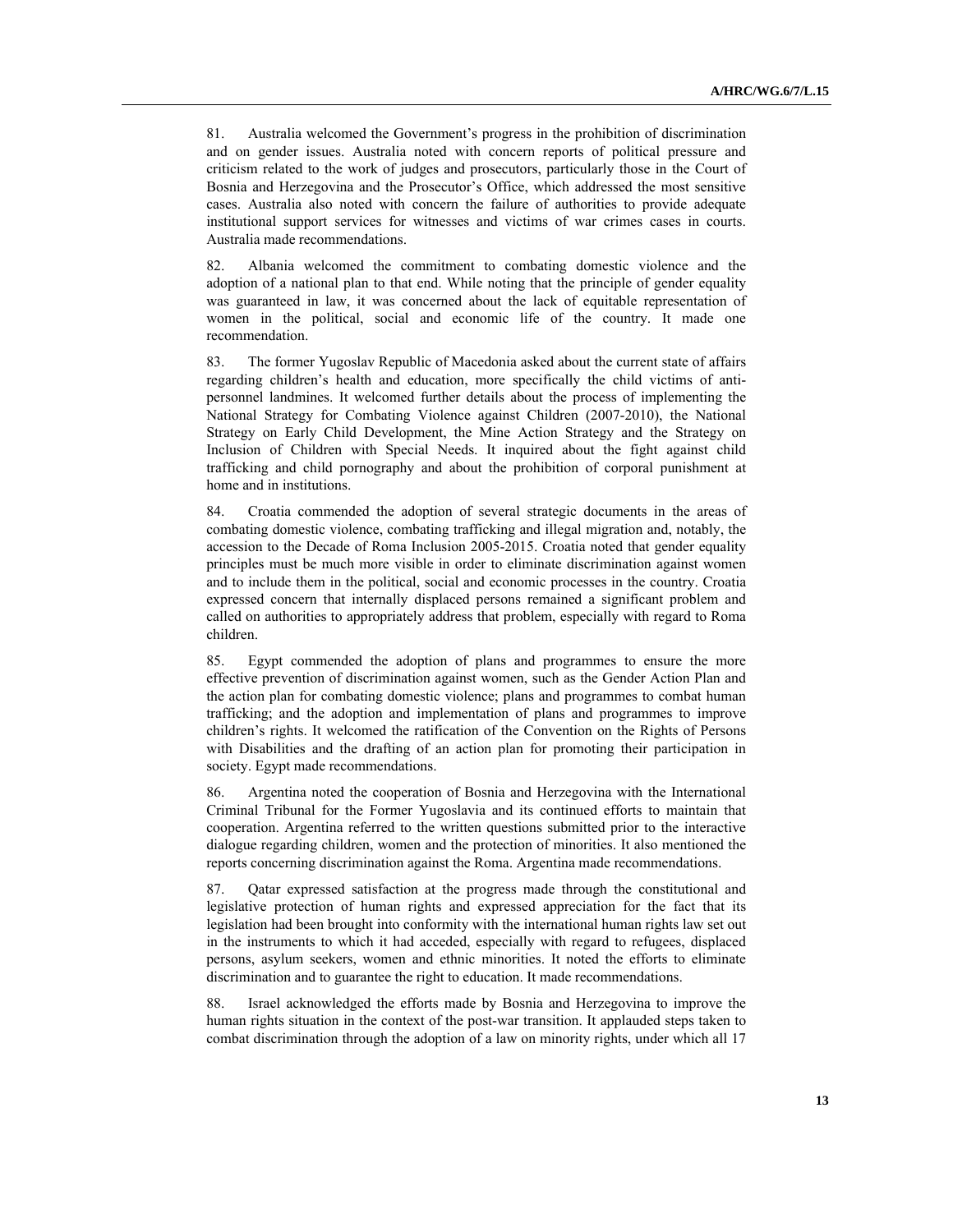81. Australia welcomed the Government's progress in the prohibition of discrimination and on gender issues. Australia noted with concern reports of political pressure and criticism related to the work of judges and prosecutors, particularly those in the Court of Bosnia and Herzegovina and the Prosecutor's Office, which addressed the most sensitive cases. Australia also noted with concern the failure of authorities to provide adequate institutional support services for witnesses and victims of war crimes cases in courts. Australia made recommendations.

82. Albania welcomed the commitment to combating domestic violence and the adoption of a national plan to that end. While noting that the principle of gender equality was guaranteed in law, it was concerned about the lack of equitable representation of women in the political, social and economic life of the country. It made one recommendation.

83. The former Yugoslav Republic of Macedonia asked about the current state of affairs regarding children's health and education, more specifically the child victims of antipersonnel landmines. It welcomed further details about the process of implementing the National Strategy for Combating Violence against Children (2007-2010), the National Strategy on Early Child Development, the Mine Action Strategy and the Strategy on Inclusion of Children with Special Needs. It inquired about the fight against child trafficking and child pornography and about the prohibition of corporal punishment at home and in institutions.

84. Croatia commended the adoption of several strategic documents in the areas of combating domestic violence, combating trafficking and illegal migration and, notably, the accession to the Decade of Roma Inclusion 2005-2015. Croatia noted that gender equality principles must be much more visible in order to eliminate discrimination against women and to include them in the political, social and economic processes in the country. Croatia expressed concern that internally displaced persons remained a significant problem and called on authorities to appropriately address that problem, especially with regard to Roma children.

85. Egypt commended the adoption of plans and programmes to ensure the more effective prevention of discrimination against women, such as the Gender Action Plan and the action plan for combating domestic violence; plans and programmes to combat human trafficking; and the adoption and implementation of plans and programmes to improve children's rights. It welcomed the ratification of the Convention on the Rights of Persons with Disabilities and the drafting of an action plan for promoting their participation in society. Egypt made recommendations.

86. Argentina noted the cooperation of Bosnia and Herzegovina with the International Criminal Tribunal for the Former Yugoslavia and its continued efforts to maintain that cooperation. Argentina referred to the written questions submitted prior to the interactive dialogue regarding children, women and the protection of minorities. It also mentioned the reports concerning discrimination against the Roma. Argentina made recommendations.

87. Qatar expressed satisfaction at the progress made through the constitutional and legislative protection of human rights and expressed appreciation for the fact that its legislation had been brought into conformity with the international human rights law set out in the instruments to which it had acceded, especially with regard to refugees, displaced persons, asylum seekers, women and ethnic minorities. It noted the efforts to eliminate discrimination and to guarantee the right to education. It made recommendations.

88. Israel acknowledged the efforts made by Bosnia and Herzegovina to improve the human rights situation in the context of the post-war transition. It applauded steps taken to combat discrimination through the adoption of a law on minority rights, under which all 17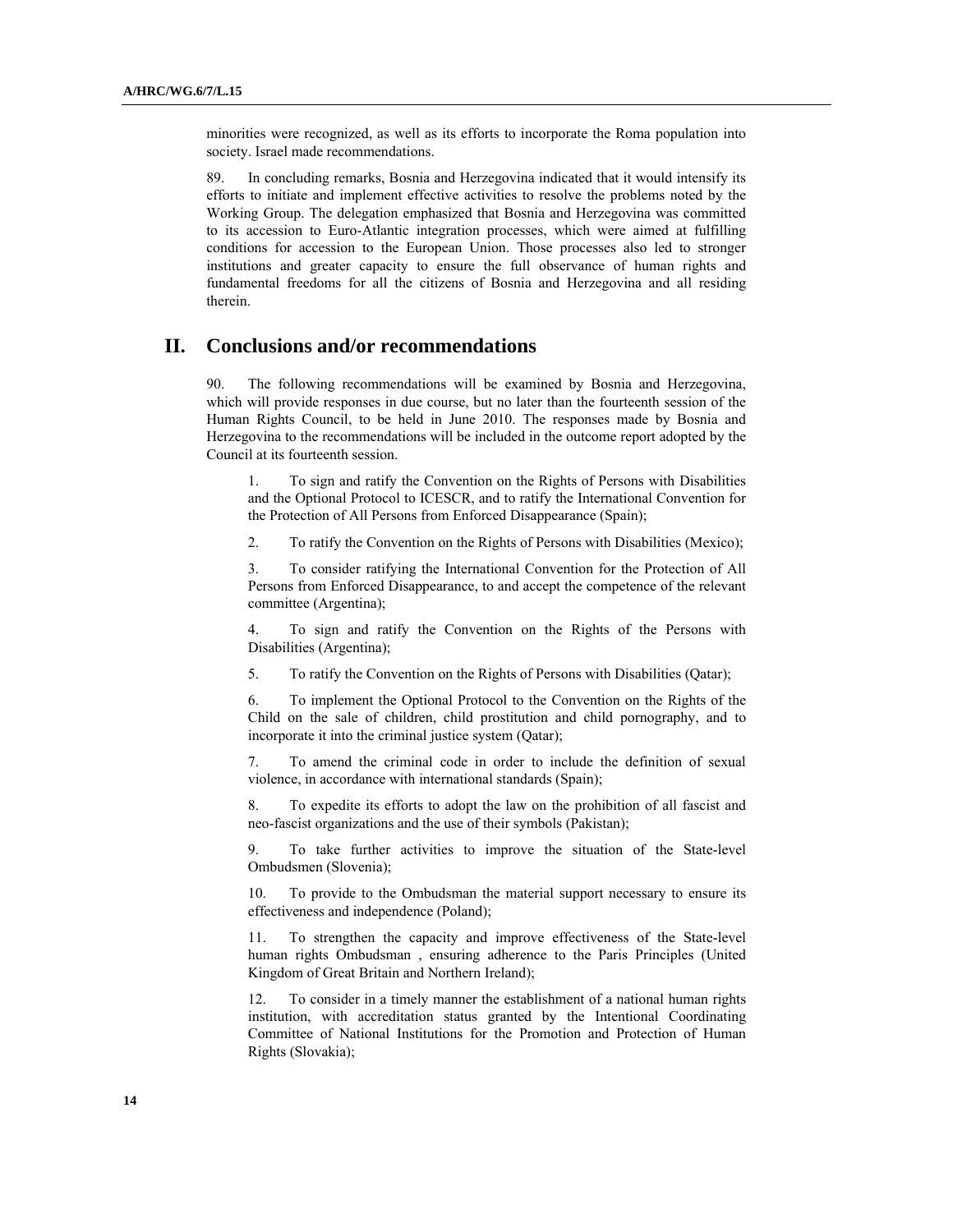minorities were recognized, as well as its efforts to incorporate the Roma population into society. Israel made recommendations.

89. In concluding remarks, Bosnia and Herzegovina indicated that it would intensify its efforts to initiate and implement effective activities to resolve the problems noted by the Working Group. The delegation emphasized that Bosnia and Herzegovina was committed to its accession to Euro-Atlantic integration processes, which were aimed at fulfilling conditions for accession to the European Union. Those processes also led to stronger institutions and greater capacity to ensure the full observance of human rights and fundamental freedoms for all the citizens of Bosnia and Herzegovina and all residing therein.

## **II. Conclusions and/or recommendations**

90. The following recommendations will be examined by Bosnia and Herzegovina, which will provide responses in due course, but no later than the fourteenth session of the Human Rights Council, to be held in June 2010. The responses made by Bosnia and Herzegovina to the recommendations will be included in the outcome report adopted by the Council at its fourteenth session.

1. To sign and ratify the Convention on the Rights of Persons with Disabilities and the Optional Protocol to ICESCR, and to ratify the International Convention for the Protection of All Persons from Enforced Disappearance (Spain);

2. To ratify the Convention on the Rights of Persons with Disabilities (Mexico);

3. To consider ratifying the International Convention for the Protection of All Persons from Enforced Disappearance, to and accept the competence of the relevant committee (Argentina);

4. To sign and ratify the Convention on the Rights of the Persons with Disabilities (Argentina);

5. To ratify the Convention on the Rights of Persons with Disabilities (Qatar);

6. To implement the Optional Protocol to the Convention on the Rights of the Child on the sale of children, child prostitution and child pornography, and to incorporate it into the criminal justice system (Qatar);

7. To amend the criminal code in order to include the definition of sexual violence, in accordance with international standards (Spain);

8. To expedite its efforts to adopt the law on the prohibition of all fascist and neo-fascist organizations and the use of their symbols (Pakistan);

9. To take further activities to improve the situation of the State-level Ombudsmen (Slovenia);

10. To provide to the Ombudsman the material support necessary to ensure its effectiveness and independence (Poland);

11. To strengthen the capacity and improve effectiveness of the State-level human rights Ombudsman , ensuring adherence to the Paris Principles (United Kingdom of Great Britain and Northern Ireland);

12. To consider in a timely manner the establishment of a national human rights institution, with accreditation status granted by the Intentional Coordinating Committee of National Institutions for the Promotion and Protection of Human Rights (Slovakia);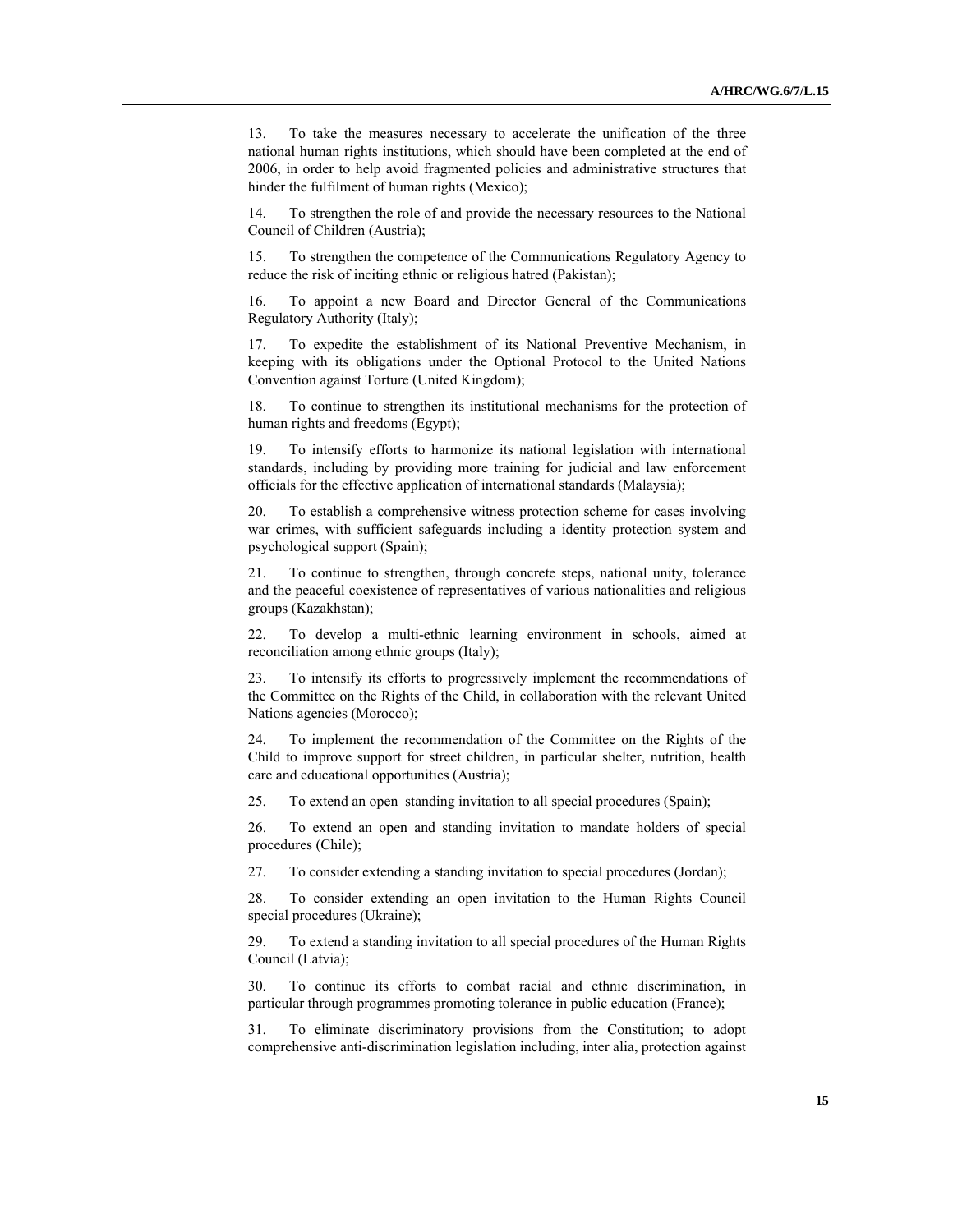13. To take the measures necessary to accelerate the unification of the three national human rights institutions, which should have been completed at the end of 2006, in order to help avoid fragmented policies and administrative structures that hinder the fulfilment of human rights (Mexico);

14. To strengthen the role of and provide the necessary resources to the National Council of Children (Austria);

15. To strengthen the competence of the Communications Regulatory Agency to reduce the risk of inciting ethnic or religious hatred (Pakistan);

16. To appoint a new Board and Director General of the Communications Regulatory Authority (Italy);

17. To expedite the establishment of its National Preventive Mechanism, in keeping with its obligations under the Optional Protocol to the United Nations Convention against Torture (United Kingdom);

18. To continue to strengthen its institutional mechanisms for the protection of human rights and freedoms (Egypt);

19. To intensify efforts to harmonize its national legislation with international standards, including by providing more training for judicial and law enforcement officials for the effective application of international standards (Malaysia);

20. To establish a comprehensive witness protection scheme for cases involving war crimes, with sufficient safeguards including a identity protection system and psychological support (Spain);

21. To continue to strengthen, through concrete steps, national unity, tolerance and the peaceful coexistence of representatives of various nationalities and religious groups (Kazakhstan);

22. To develop a multi-ethnic learning environment in schools, aimed at reconciliation among ethnic groups (Italy);

23. To intensify its efforts to progressively implement the recommendations of the Committee on the Rights of the Child, in collaboration with the relevant United Nations agencies (Morocco);

24. To implement the recommendation of the Committee on the Rights of the Child to improve support for street children, in particular shelter, nutrition, health care and educational opportunities (Austria);

25. To extend an open standing invitation to all special procedures (Spain);

26. To extend an open and standing invitation to mandate holders of special procedures (Chile);

27. To consider extending a standing invitation to special procedures (Jordan);

28. To consider extending an open invitation to the Human Rights Council special procedures (Ukraine);

29. To extend a standing invitation to all special procedures of the Human Rights Council (Latvia);

30. To continue its efforts to combat racial and ethnic discrimination, in particular through programmes promoting tolerance in public education (France);

31. To eliminate discriminatory provisions from the Constitution; to adopt comprehensive anti-discrimination legislation including, inter alia, protection against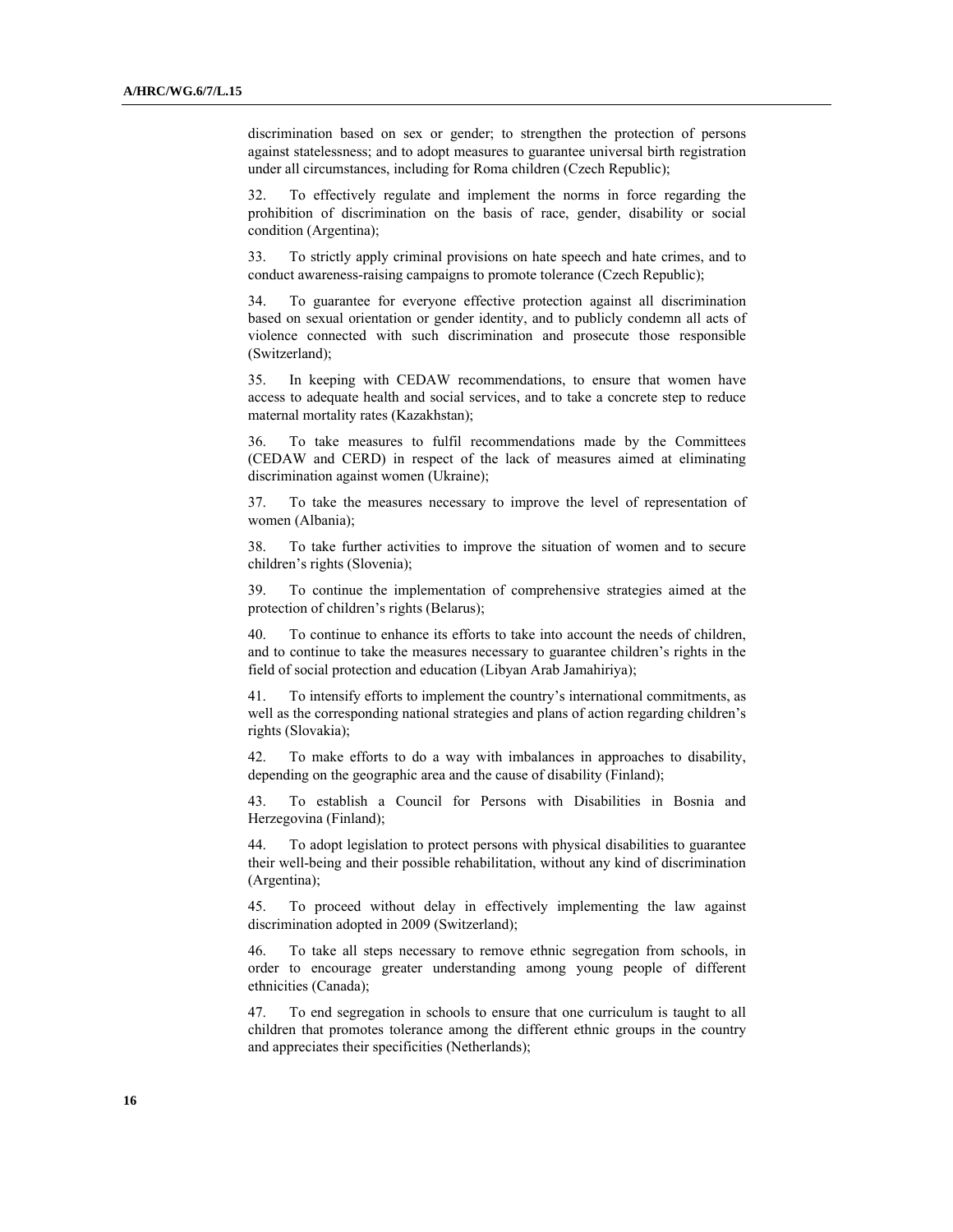discrimination based on sex or gender; to strengthen the protection of persons against statelessness; and to adopt measures to guarantee universal birth registration under all circumstances, including for Roma children (Czech Republic);

32. To effectively regulate and implement the norms in force regarding the prohibition of discrimination on the basis of race, gender, disability or social condition (Argentina);

33. To strictly apply criminal provisions on hate speech and hate crimes, and to conduct awareness-raising campaigns to promote tolerance (Czech Republic);

34. To guarantee for everyone effective protection against all discrimination based on sexual orientation or gender identity, and to publicly condemn all acts of violence connected with such discrimination and prosecute those responsible (Switzerland);

35. In keeping with CEDAW recommendations, to ensure that women have access to adequate health and social services, and to take a concrete step to reduce maternal mortality rates (Kazakhstan);

36. To take measures to fulfil recommendations made by the Committees (CEDAW and CERD) in respect of the lack of measures aimed at eliminating discrimination against women (Ukraine);

37. To take the measures necessary to improve the level of representation of women (Albania);

38. To take further activities to improve the situation of women and to secure children's rights (Slovenia);

39. To continue the implementation of comprehensive strategies aimed at the protection of children's rights (Belarus);

40. To continue to enhance its efforts to take into account the needs of children, and to continue to take the measures necessary to guarantee children's rights in the field of social protection and education (Libyan Arab Jamahiriya);

41. To intensify efforts to implement the country's international commitments, as well as the corresponding national strategies and plans of action regarding children's rights (Slovakia);

42. To make efforts to do a way with imbalances in approaches to disability, depending on the geographic area and the cause of disability (Finland);

43. To establish a Council for Persons with Disabilities in Bosnia and Herzegovina (Finland);

44. To adopt legislation to protect persons with physical disabilities to guarantee their well-being and their possible rehabilitation, without any kind of discrimination (Argentina);

45. To proceed without delay in effectively implementing the law against discrimination adopted in 2009 (Switzerland);

46. To take all steps necessary to remove ethnic segregation from schools, in order to encourage greater understanding among young people of different ethnicities (Canada);

47. To end segregation in schools to ensure that one curriculum is taught to all children that promotes tolerance among the different ethnic groups in the country and appreciates their specificities (Netherlands);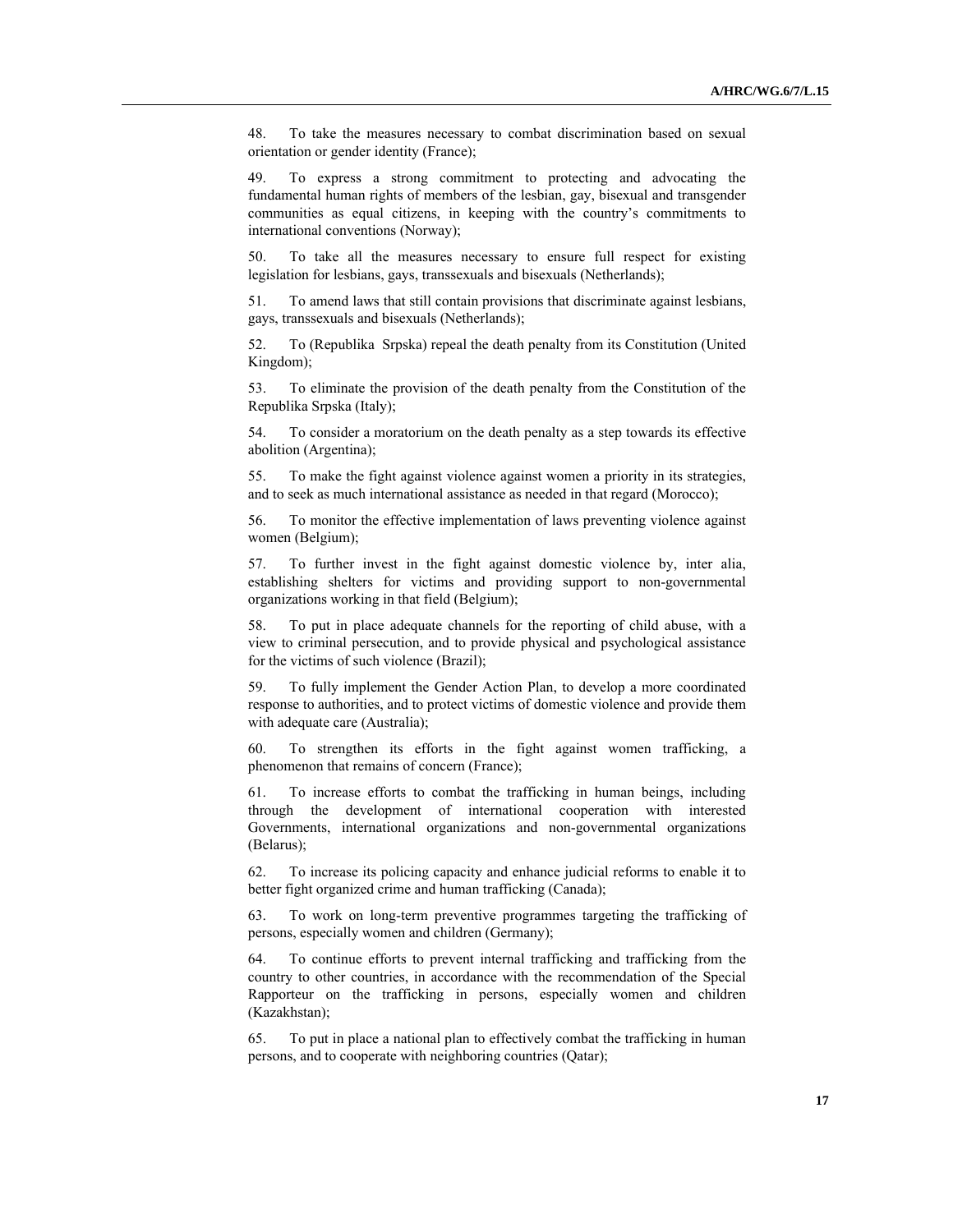48. To take the measures necessary to combat discrimination based on sexual orientation or gender identity (France);

49. To express a strong commitment to protecting and advocating the fundamental human rights of members of the lesbian, gay, bisexual and transgender communities as equal citizens, in keeping with the country's commitments to international conventions (Norway);

50. To take all the measures necessary to ensure full respect for existing legislation for lesbians, gays, transsexuals and bisexuals (Netherlands);

51. To amend laws that still contain provisions that discriminate against lesbians, gays, transsexuals and bisexuals (Netherlands);

52. To (Republika Srpska) repeal the death penalty from its Constitution (United Kingdom);

53. To eliminate the provision of the death penalty from the Constitution of the Republika Srpska (Italy);

54. To consider a moratorium on the death penalty as a step towards its effective abolition (Argentina);

55. To make the fight against violence against women a priority in its strategies, and to seek as much international assistance as needed in that regard (Morocco);

56. To monitor the effective implementation of laws preventing violence against women (Belgium);

57. To further invest in the fight against domestic violence by, inter alia, establishing shelters for victims and providing support to non-governmental organizations working in that field (Belgium);

58. To put in place adequate channels for the reporting of child abuse, with a view to criminal persecution, and to provide physical and psychological assistance for the victims of such violence (Brazil);

59. To fully implement the Gender Action Plan, to develop a more coordinated response to authorities, and to protect victims of domestic violence and provide them with adequate care (Australia);

60. To strengthen its efforts in the fight against women trafficking, a phenomenon that remains of concern (France);

61. To increase efforts to combat the trafficking in human beings, including through the development of international cooperation with interested Governments, international organizations and non-governmental organizations (Belarus);

62. To increase its policing capacity and enhance judicial reforms to enable it to better fight organized crime and human trafficking (Canada);

63. To work on long-term preventive programmes targeting the trafficking of persons, especially women and children (Germany);

64. To continue efforts to prevent internal trafficking and trafficking from the country to other countries, in accordance with the recommendation of the Special Rapporteur on the trafficking in persons, especially women and children (Kazakhstan);

65. To put in place a national plan to effectively combat the trafficking in human persons, and to cooperate with neighboring countries (Qatar);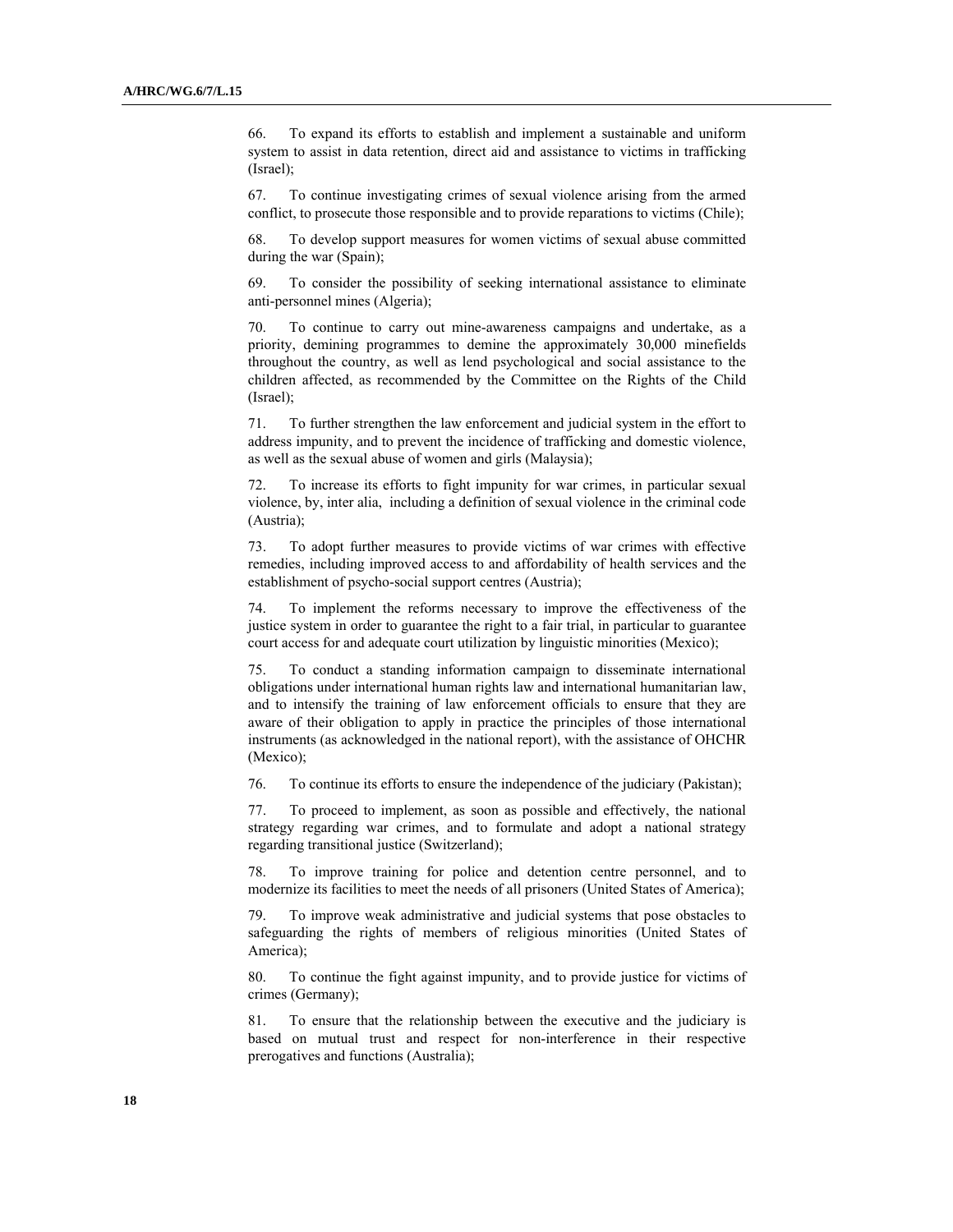66. To expand its efforts to establish and implement a sustainable and uniform system to assist in data retention, direct aid and assistance to victims in trafficking (Israel);

67. To continue investigating crimes of sexual violence arising from the armed conflict, to prosecute those responsible and to provide reparations to victims (Chile);

68. To develop support measures for women victims of sexual abuse committed during the war (Spain);

69. To consider the possibility of seeking international assistance to eliminate anti-personnel mines (Algeria);

70. To continue to carry out mine-awareness campaigns and undertake, as a priority, demining programmes to demine the approximately 30,000 minefields throughout the country, as well as lend psychological and social assistance to the children affected, as recommended by the Committee on the Rights of the Child (Israel);

71. To further strengthen the law enforcement and judicial system in the effort to address impunity, and to prevent the incidence of trafficking and domestic violence, as well as the sexual abuse of women and girls (Malaysia);

72. To increase its efforts to fight impunity for war crimes, in particular sexual violence, by, inter alia, including a definition of sexual violence in the criminal code (Austria);

73. To adopt further measures to provide victims of war crimes with effective remedies, including improved access to and affordability of health services and the establishment of psycho-social support centres (Austria);

74. To implement the reforms necessary to improve the effectiveness of the justice system in order to guarantee the right to a fair trial, in particular to guarantee court access for and adequate court utilization by linguistic minorities (Mexico);

75. To conduct a standing information campaign to disseminate international obligations under international human rights law and international humanitarian law, and to intensify the training of law enforcement officials to ensure that they are aware of their obligation to apply in practice the principles of those international instruments (as acknowledged in the national report), with the assistance of OHCHR (Mexico);

76. To continue its efforts to ensure the independence of the judiciary (Pakistan);

77. To proceed to implement, as soon as possible and effectively, the national strategy regarding war crimes, and to formulate and adopt a national strategy regarding transitional justice (Switzerland);

78. To improve training for police and detention centre personnel, and to modernize its facilities to meet the needs of all prisoners (United States of America);

79. To improve weak administrative and judicial systems that pose obstacles to safeguarding the rights of members of religious minorities (United States of America);

80. To continue the fight against impunity, and to provide justice for victims of crimes (Germany);

81. To ensure that the relationship between the executive and the judiciary is based on mutual trust and respect for non-interference in their respective prerogatives and functions (Australia);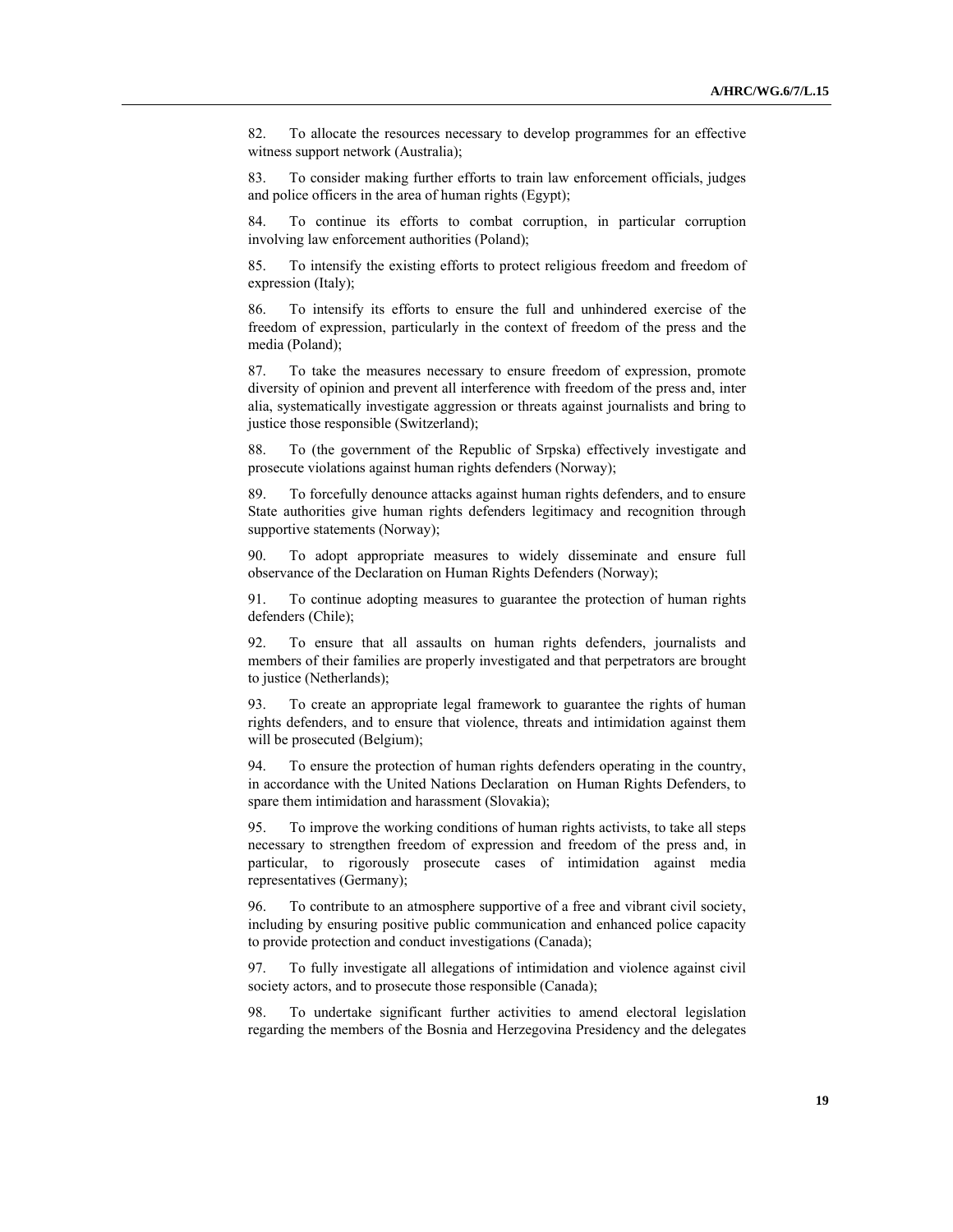82. To allocate the resources necessary to develop programmes for an effective witness support network (Australia);

83. To consider making further efforts to train law enforcement officials, judges and police officers in the area of human rights (Egypt);

84. To continue its efforts to combat corruption, in particular corruption involving law enforcement authorities (Poland);

85. To intensify the existing efforts to protect religious freedom and freedom of expression (Italy);

86. To intensify its efforts to ensure the full and unhindered exercise of the freedom of expression, particularly in the context of freedom of the press and the media (Poland);

87. To take the measures necessary to ensure freedom of expression, promote diversity of opinion and prevent all interference with freedom of the press and, inter alia, systematically investigate aggression or threats against journalists and bring to justice those responsible (Switzerland);

88. To (the government of the Republic of Srpska) effectively investigate and prosecute violations against human rights defenders (Norway);

89. To forcefully denounce attacks against human rights defenders, and to ensure State authorities give human rights defenders legitimacy and recognition through supportive statements (Norway);

90. To adopt appropriate measures to widely disseminate and ensure full observance of the Declaration on Human Rights Defenders (Norway);

91. To continue adopting measures to guarantee the protection of human rights defenders (Chile);

92. To ensure that all assaults on human rights defenders, journalists and members of their families are properly investigated and that perpetrators are brought to justice (Netherlands);

93. To create an appropriate legal framework to guarantee the rights of human rights defenders, and to ensure that violence, threats and intimidation against them will be prosecuted (Belgium);

94. To ensure the protection of human rights defenders operating in the country, in accordance with the United Nations Declaration on Human Rights Defenders, to spare them intimidation and harassment (Slovakia);

95. To improve the working conditions of human rights activists, to take all steps necessary to strengthen freedom of expression and freedom of the press and, in particular, to rigorously prosecute cases of intimidation against media representatives (Germany);

96. To contribute to an atmosphere supportive of a free and vibrant civil society, including by ensuring positive public communication and enhanced police capacity to provide protection and conduct investigations (Canada);

97. To fully investigate all allegations of intimidation and violence against civil society actors, and to prosecute those responsible (Canada);

98. To undertake significant further activities to amend electoral legislation regarding the members of the Bosnia and Herzegovina Presidency and the delegates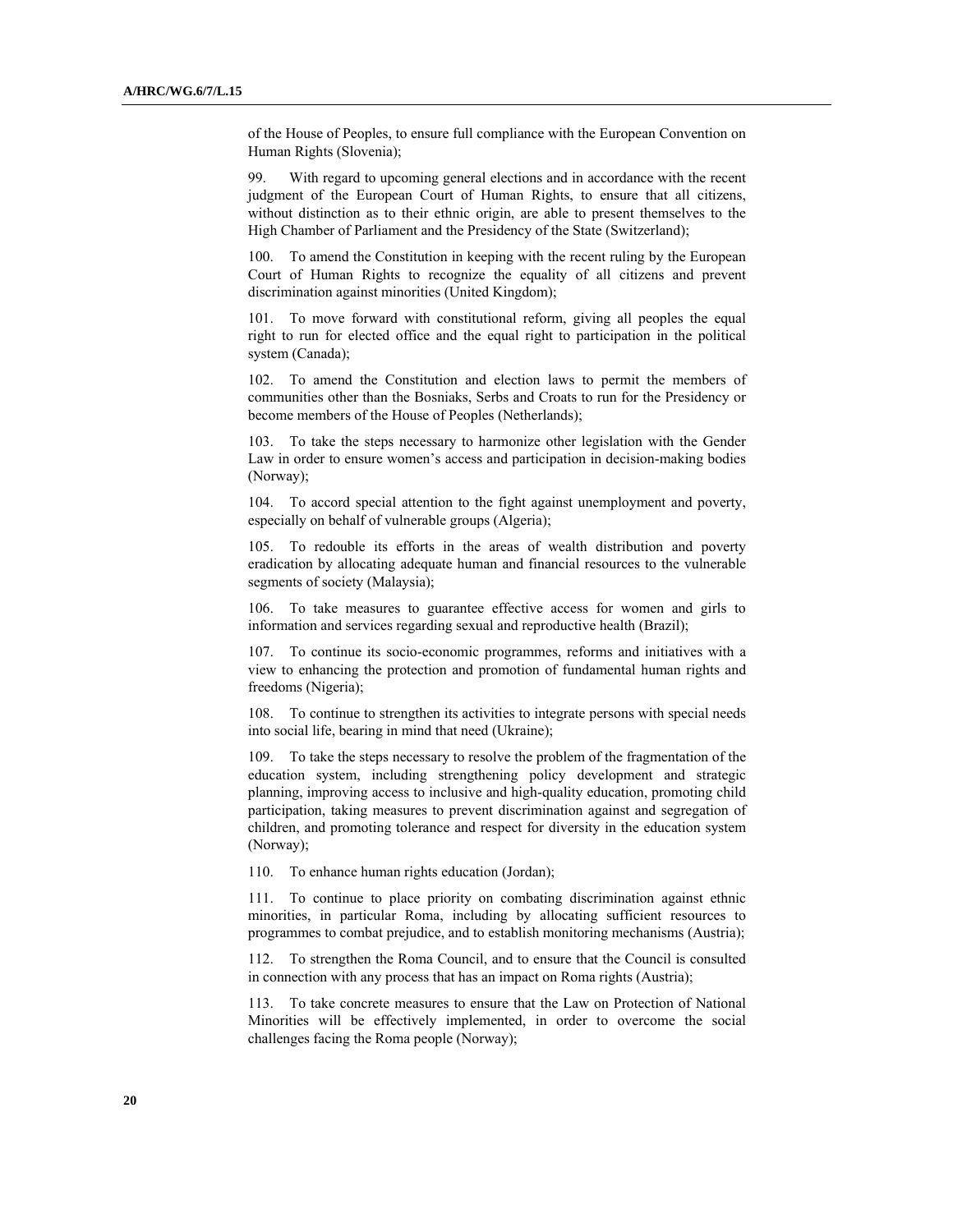of the House of Peoples, to ensure full compliance with the European Convention on Human Rights (Slovenia);

99. With regard to upcoming general elections and in accordance with the recent judgment of the European Court of Human Rights, to ensure that all citizens, without distinction as to their ethnic origin, are able to present themselves to the High Chamber of Parliament and the Presidency of the State (Switzerland);

100. To amend the Constitution in keeping with the recent ruling by the European Court of Human Rights to recognize the equality of all citizens and prevent discrimination against minorities (United Kingdom);

101. To move forward with constitutional reform, giving all peoples the equal right to run for elected office and the equal right to participation in the political system (Canada);

102. To amend the Constitution and election laws to permit the members of communities other than the Bosniaks, Serbs and Croats to run for the Presidency or become members of the House of Peoples (Netherlands);

103. To take the steps necessary to harmonize other legislation with the Gender Law in order to ensure women's access and participation in decision-making bodies (Norway);

104. To accord special attention to the fight against unemployment and poverty, especially on behalf of vulnerable groups (Algeria);

105. To redouble its efforts in the areas of wealth distribution and poverty eradication by allocating adequate human and financial resources to the vulnerable segments of society (Malaysia);

106. To take measures to guarantee effective access for women and girls to information and services regarding sexual and reproductive health (Brazil);

107. To continue its socio-economic programmes, reforms and initiatives with a view to enhancing the protection and promotion of fundamental human rights and freedoms (Nigeria);

108. To continue to strengthen its activities to integrate persons with special needs into social life, bearing in mind that need (Ukraine);

109. To take the steps necessary to resolve the problem of the fragmentation of the education system, including strengthening policy development and strategic planning, improving access to inclusive and high-quality education, promoting child participation, taking measures to prevent discrimination against and segregation of children, and promoting tolerance and respect for diversity in the education system (Norway);

110. To enhance human rights education (Jordan);

111. To continue to place priority on combating discrimination against ethnic minorities, in particular Roma, including by allocating sufficient resources to programmes to combat prejudice, and to establish monitoring mechanisms (Austria);

112. To strengthen the Roma Council, and to ensure that the Council is consulted in connection with any process that has an impact on Roma rights (Austria);

113. To take concrete measures to ensure that the Law on Protection of National Minorities will be effectively implemented, in order to overcome the social challenges facing the Roma people (Norway);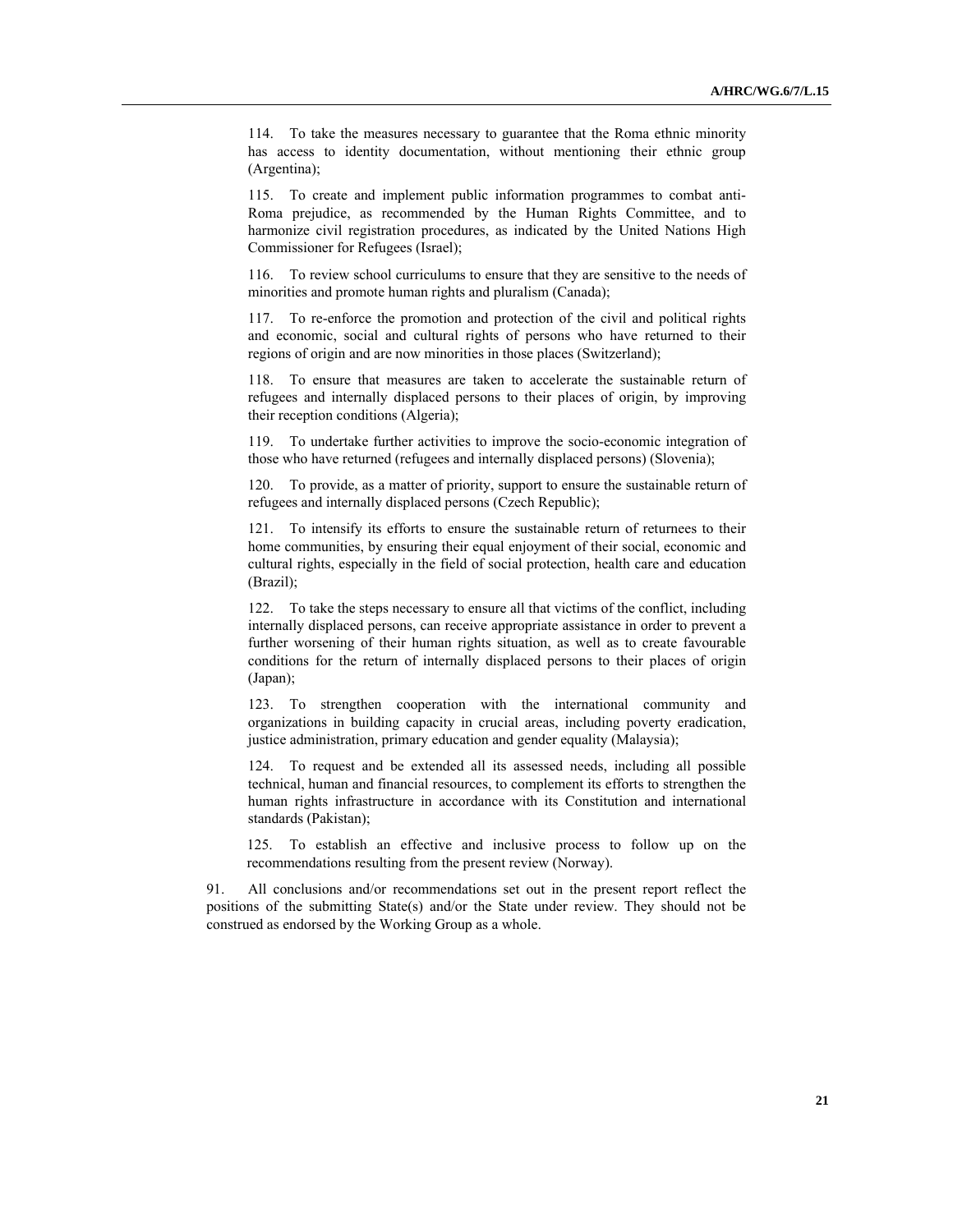114. To take the measures necessary to guarantee that the Roma ethnic minority has access to identity documentation, without mentioning their ethnic group (Argentina);

115. To create and implement public information programmes to combat anti-Roma prejudice, as recommended by the Human Rights Committee, and to harmonize civil registration procedures, as indicated by the United Nations High Commissioner for Refugees (Israel);

116. To review school curriculums to ensure that they are sensitive to the needs of minorities and promote human rights and pluralism (Canada);

117. To re-enforce the promotion and protection of the civil and political rights and economic, social and cultural rights of persons who have returned to their regions of origin and are now minorities in those places (Switzerland);

118. To ensure that measures are taken to accelerate the sustainable return of refugees and internally displaced persons to their places of origin, by improving their reception conditions (Algeria);

119. To undertake further activities to improve the socio-economic integration of those who have returned (refugees and internally displaced persons) (Slovenia);

120. To provide, as a matter of priority, support to ensure the sustainable return of refugees and internally displaced persons (Czech Republic);

121. To intensify its efforts to ensure the sustainable return of returnees to their home communities, by ensuring their equal enjoyment of their social, economic and cultural rights, especially in the field of social protection, health care and education (Brazil);

122. To take the steps necessary to ensure all that victims of the conflict, including internally displaced persons, can receive appropriate assistance in order to prevent a further worsening of their human rights situation, as well as to create favourable conditions for the return of internally displaced persons to their places of origin (Japan);

123. To strengthen cooperation with the international community and organizations in building capacity in crucial areas, including poverty eradication, justice administration, primary education and gender equality (Malaysia);

124. To request and be extended all its assessed needs, including all possible technical, human and financial resources, to complement its efforts to strengthen the human rights infrastructure in accordance with its Constitution and international standards (Pakistan);

125. To establish an effective and inclusive process to follow up on the recommendations resulting from the present review (Norway).

91. All conclusions and/or recommendations set out in the present report reflect the positions of the submitting State(s) and/or the State under review. They should not be construed as endorsed by the Working Group as a whole.